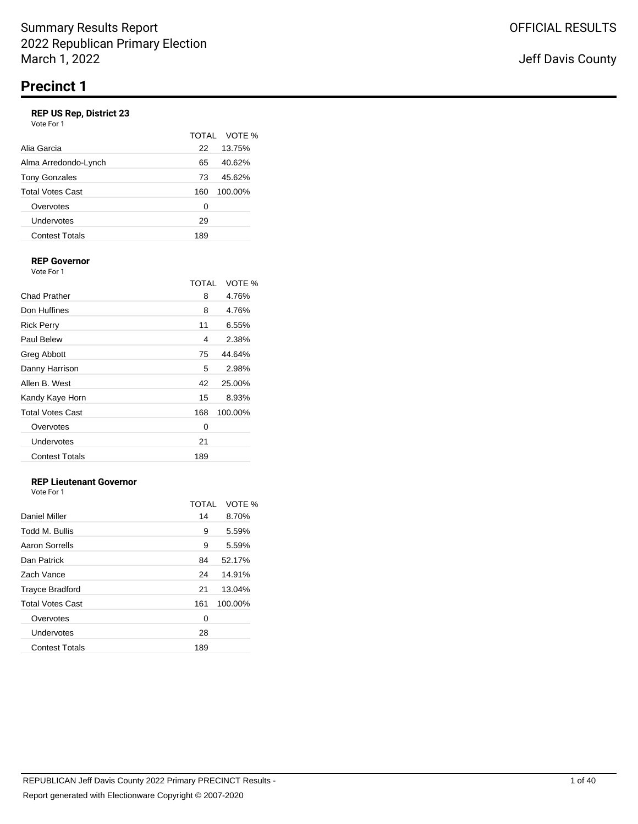## **REP US Rep, District 23**

| Vote For 1 |  |
|------------|--|
|------------|--|

|                       |     | TOTAL VOTE % |
|-----------------------|-----|--------------|
| Alia Garcia           | 22  | 13.75%       |
| Alma Arredondo-Lynch  | 65  | 40.62%       |
| <b>Tony Gonzales</b>  | 73  | 45.62%       |
| Total Votes Cast      | 160 | 100.00%      |
| Overvotes             | 0   |              |
| Undervotes            | 29  |              |
| <b>Contest Totals</b> | 189 |              |

#### **REP Governor** Vote For 1

|                         | TOTAI | VOTE %  |
|-------------------------|-------|---------|
| Chad Prather            | 8     | 4.76%   |
| Don Huffines            | 8     | 4.76%   |
| <b>Rick Perry</b>       | 11    | 6.55%   |
| Paul Belew              | 4     | 2.38%   |
| Greg Abbott             | 75    | 44.64%  |
| Danny Harrison          | 5     | 2.98%   |
| Allen B. West           | 42    | 25.00%  |
| Kandy Kaye Horn         | 15    | 8.93%   |
| <b>Total Votes Cast</b> | 168   | 100.00% |
| Overvotes               | 0     |         |
| Undervotes              | 21    |         |
| <b>Contest Totals</b>   | 189   |         |

# **REP Lieutenant Governor**

|                         | TOTAL | VOTE %  |
|-------------------------|-------|---------|
| <b>Daniel Miller</b>    | 14    | 8.70%   |
| Todd M. Bullis          | 9     | 5.59%   |
| Aaron Sorrells          | 9     | 5.59%   |
| Dan Patrick             | 84    | 52.17%  |
| Zach Vance              | 24    | 14.91%  |
| <b>Trayce Bradford</b>  | 21    | 13.04%  |
| <b>Total Votes Cast</b> | 161   | 100.00% |
| Overvotes               | 0     |         |
| Undervotes              | 28    |         |
| <b>Contest Totals</b>   | 189   |         |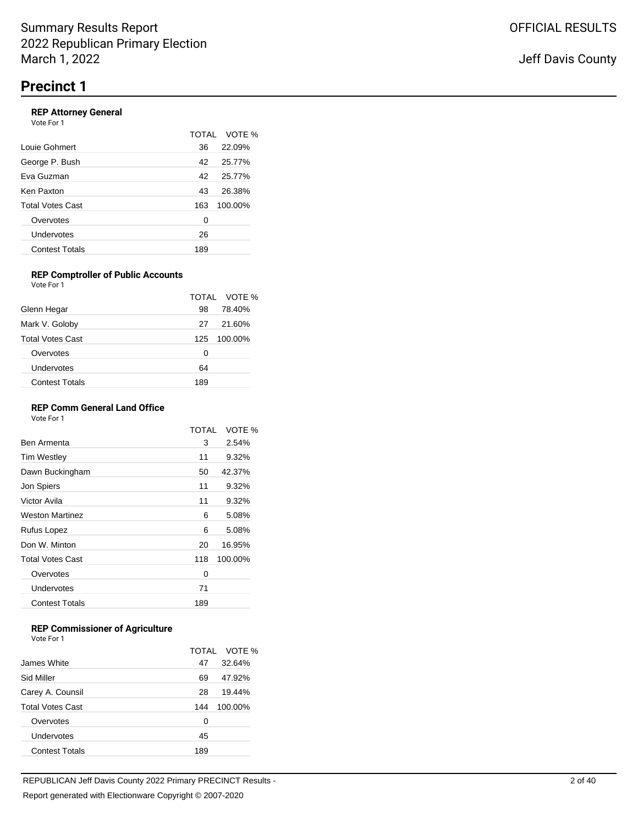#### **REP Attorney General** Vote For 1

|                         | TOTAI | VOTE %  |
|-------------------------|-------|---------|
| Louie Gohmert           | 36    | 22.09%  |
| George P. Bush          | 42    | 25.77%  |
| Eva Guzman              | 42    | 25.77%  |
| Ken Paxton              | 43    | 26.38%  |
| <b>Total Votes Cast</b> | 163   | 100.00% |
| Overvotes               | 0     |         |
| Undervotes              | 26    |         |
| <b>Contest Totals</b>   | 189   |         |

#### **REP Comptroller of Public Accounts** Vote For 1

|                         |     | TOTAL VOTE % |
|-------------------------|-----|--------------|
| Glenn Hegar             | 98  | 78.40%       |
| Mark V. Goloby          | 27  | 21.60%       |
| <b>Total Votes Cast</b> | 125 | 100.00%      |
| Overvotes               | 0   |              |
| Undervotes              | 64  |              |
| <b>Contest Totals</b>   | 189 |              |

### **REP Comm General Land Office**

Vote For 1

|                         | TOTAI | VOTE %  |
|-------------------------|-------|---------|
| Ben Armenta             | 3     | 2.54%   |
| <b>Tim Westley</b>      | 11    | 9.32%   |
| Dawn Buckingham         | 50    | 42.37%  |
| Jon Spiers              | 11    | 9.32%   |
| Victor Avila            | 11    | 9.32%   |
| <b>Weston Martinez</b>  | 6     | 5.08%   |
| Rufus Lopez             | 6     | 5.08%   |
| Don W. Minton           | 20    | 16.95%  |
| <b>Total Votes Cast</b> | 118   | 100.00% |
| Overvotes               | 0     |         |
| Undervotes              | 71    |         |
| <b>Contest Totals</b>   | 189   |         |
|                         |       |         |

## **REP Commissioner of Agriculture**

|                         |     | TOTAL VOTE % |
|-------------------------|-----|--------------|
| James White             | 47  | 32.64%       |
| Sid Miller              | 69  | 47.92%       |
| Carey A. Counsil        | 28  | 19.44%       |
| <b>Total Votes Cast</b> | 144 | 100.00%      |
| Overvotes               | 0   |              |
| Undervotes              | 45  |              |
| <b>Contest Totals</b>   | 189 |              |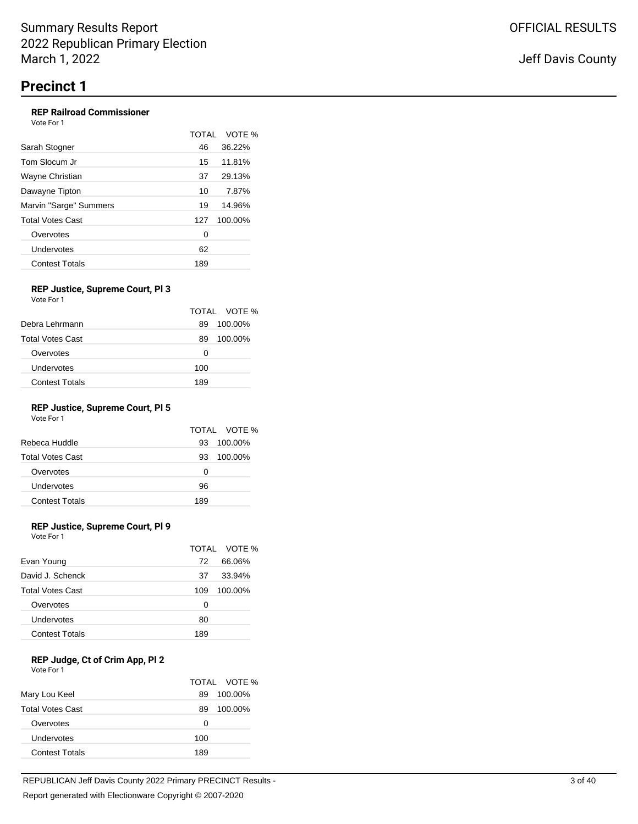#### **REP Railroad Commissioner** Vote For 1

|                        | <b>TOTAL</b> | VOTE %  |
|------------------------|--------------|---------|
| Sarah Stogner          | 46           | 36.22%  |
| Tom Slocum Jr          | 15           | 11.81%  |
| Wayne Christian        | 37           | 29.13%  |
| Dawayne Tipton         | 10           | 7.87%   |
| Marvin "Sarge" Summers | 19           | 14.96%  |
| Total Votes Cast       | 127          | 100.00% |
| Overvotes              | 0            |         |
| Undervotes             | 62           |         |
| <b>Contest Totals</b>  | 189          |         |
|                        |              |         |

#### **REP Justice, Supreme Court, Pl 3** Vote For 1

|                         |     | TOTAL VOTE % |
|-------------------------|-----|--------------|
| Debra Lehrmann          | 89  | 100.00%      |
| <b>Total Votes Cast</b> | 89  | 100.00%      |
| Overvotes               | 0   |              |
| Undervotes              | 100 |              |
| <b>Contest Totals</b>   | 189 |              |

# **REP Justice, Supreme Court, Pl 5**

Vote For 1

|                         |     | TOTAL VOTE % |
|-------------------------|-----|--------------|
| Rebeca Huddle           | 93  | 100.00%      |
| <b>Total Votes Cast</b> | 93  | 100.00%      |
| Overvotes               | O   |              |
| Undervotes              | 96  |              |
| <b>Contest Totals</b>   | 189 |              |

## **REP Justice, Supreme Court, Pl 9**

Vote For 1

|                         |     | TOTAL VOTE % |
|-------------------------|-----|--------------|
| Evan Young              | 72. | 66.06%       |
| David J. Schenck        | 37  | 33.94%       |
| <b>Total Votes Cast</b> | 109 | 100.00%      |
| Overvotes               | Ω   |              |
| Undervotes              | 80  |              |
| <b>Contest Totals</b>   | 189 |              |

### **REP Judge, Ct of Crim App, Pl 2**

| Vote For 1 |  |  |
|------------|--|--|
|------------|--|--|

|                         |     | TOTAL VOTE % |
|-------------------------|-----|--------------|
| Mary Lou Keel           | 89  | 100.00%      |
| <b>Total Votes Cast</b> | 89  | 100.00%      |
| Overvotes               | 0   |              |
| Undervotes              | 100 |              |
| <b>Contest Totals</b>   | 189 |              |
|                         |     |              |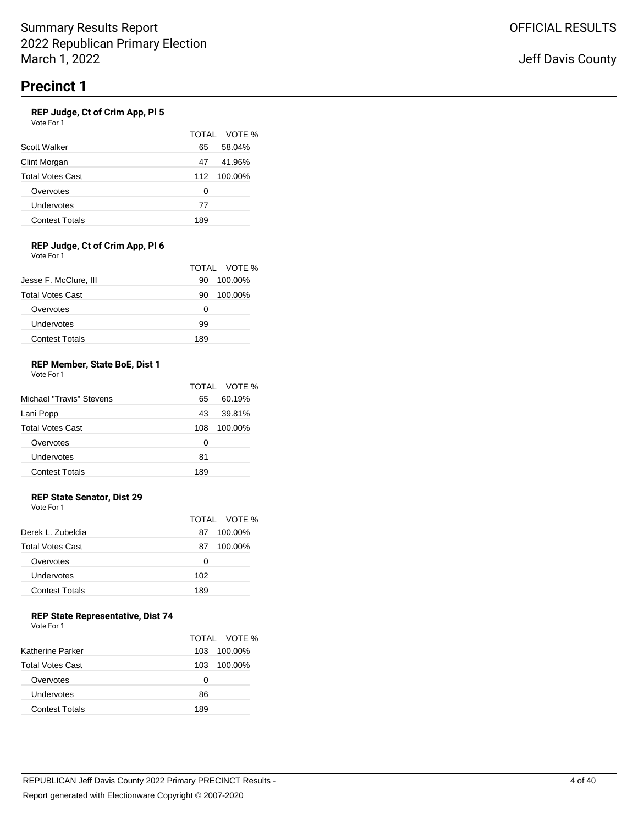### **REP Judge, Ct of Crim App, Pl 5**

Vote For 1

|                         |     | TOTAL VOTE % |
|-------------------------|-----|--------------|
| Scott Walker            | 65  | 58.04%       |
| Clint Morgan            | 47  | 41.96%       |
| <b>Total Votes Cast</b> | 112 | 100.00%      |
| Overvotes               | 0   |              |
| Undervotes              | 77  |              |
| <b>Contest Totals</b>   | 189 |              |

#### **REP Judge, Ct of Crim App, Pl 6** Vote For 1

|                         |     | TOTAL VOTE % |
|-------------------------|-----|--------------|
| Jesse F. McClure, III   | 90  | 100.00%      |
| <b>Total Votes Cast</b> | 90  | 100.00%      |
| Overvotes               | Ω   |              |
| Undervotes              | 99  |              |
| <b>Contest Totals</b>   | 189 |              |

#### **REP Member, State BoE, Dist 1** Vote For 1

|                          |     | TOTAL VOTE % |
|--------------------------|-----|--------------|
| Michael "Travis" Stevens | 65  | 60.19%       |
| Lani Popp                | 43  | 39.81%       |
| <b>Total Votes Cast</b>  | 108 | 100.00%      |
| Overvotes                | 0   |              |
| Undervotes               | 81  |              |
| <b>Contest Totals</b>    | 189 |              |

# **REP State Senator, Dist 29**

Vote For 1

|                         |     | TOTAL VOTE % |
|-------------------------|-----|--------------|
| Derek L. Zubeldia       | 87  | 100.00%      |
| <b>Total Votes Cast</b> | 87  | 100.00%      |
| Overvotes               | Ω   |              |
| Undervotes              | 102 |              |
| Contest Totals          | 189 |              |
|                         |     |              |

## **REP State Representative, Dist 74**

| Vote For 1 |  |
|------------|--|
|------------|--|

|                         |     | TOTAL VOTE % |
|-------------------------|-----|--------------|
| Katherine Parker        | 103 | 100.00%      |
| <b>Total Votes Cast</b> | 103 | 100.00%      |
| Overvotes               | O   |              |
| Undervotes              | 86  |              |
| <b>Contest Totals</b>   | 189 |              |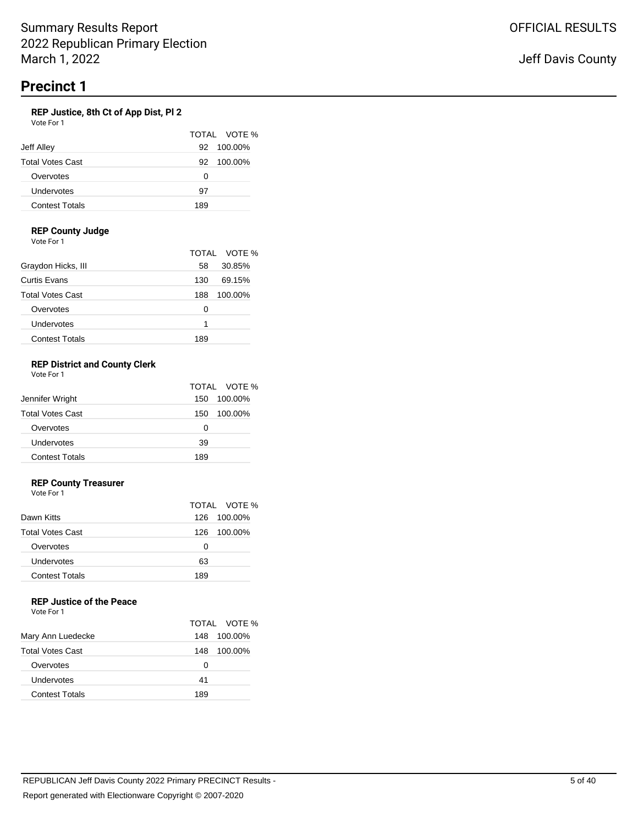### **REP Justice, 8th Ct of App Dist, Pl 2**

| Vote For 1              |               |
|-------------------------|---------------|
|                         | TOTAL VOTE    |
| Jeff Alley              | 100.00%<br>92 |
| <b>Total Votes Cast</b> | 100.00%<br>92 |
| Overvotes               | 0             |
| Undervotes              | 97            |
| <b>Contest Totals</b>   | 189           |

 $\%$ 

### **REP County Judge**

Vote For 1

|                         |     | TOTAL VOTE % |
|-------------------------|-----|--------------|
| Graydon Hicks, III      | 58  | 30.85%       |
| Curtis Evans            | 130 | 69.15%       |
| <b>Total Votes Cast</b> | 188 | 100.00%      |
| Overvotes               | Ω   |              |
| Undervotes              | 1   |              |
| <b>Contest Totals</b>   | 189 |              |

#### **REP District and County Clerk** Vote For 1

| VULCIUI I               |                |
|-------------------------|----------------|
|                         | TOTAL VOTE %   |
| Jennifer Wright         | 100.00%<br>150 |
| <b>Total Votes Cast</b> | 100.00%<br>150 |
| Overvotes               | 0              |
| Undervotes              | 39             |
| <b>Contest Totals</b>   | 189            |

### **REP County Treasurer**

Vote For 1

|                         |      | TOTAL VOTE % |
|-------------------------|------|--------------|
| Dawn Kitts              |      | 126 100.00%  |
| <b>Total Votes Cast</b> | 126. | 100.00%      |
| Overvotes               | O    |              |
| Undervotes              | 63   |              |
| <b>Contest Totals</b>   | 189  |              |

# **REP Justice of the Peace**

|                         |     | TOTAL VOTE % |
|-------------------------|-----|--------------|
| Mary Ann Luedecke       | 148 | 100.00%      |
| <b>Total Votes Cast</b> | 148 | 100.00%      |
| Overvotes               | O   |              |
| Undervotes              | 41  |              |
| <b>Contest Totals</b>   | 189 |              |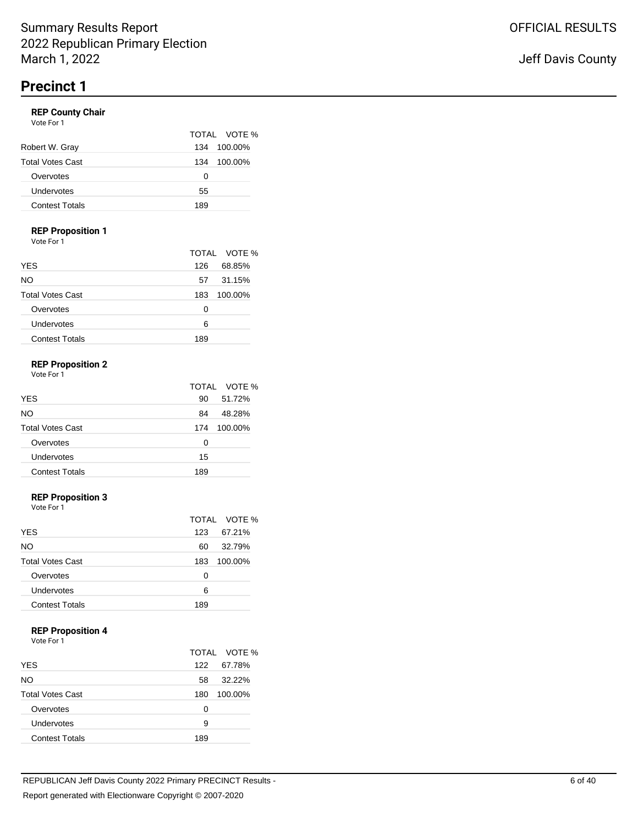#### **REP County Chair** Vote For 1

|                       |     | TOTAL VOTE % |
|-----------------------|-----|--------------|
| Robert W. Gray        | 134 | 100.00%      |
| Total Votes Cast      | 134 | 100.00%      |
| Overvotes             | 0   |              |
| Undervotes            | 55  |              |
| <b>Contest Totals</b> | 189 |              |
|                       |     |              |

### **REP Proposition 1**

Vote For 1

|                         |     | TOTAL VOTE % |
|-------------------------|-----|--------------|
| <b>YES</b>              | 126 | 68.85%       |
| <b>NO</b>               | 57  | 31.15%       |
| <b>Total Votes Cast</b> | 183 | 100.00%      |
| Overvotes               | Ω   |              |
| Undervotes              | 6   |              |
| <b>Contest Totals</b>   | 189 |              |

### **REP Proposition 2**

Vote For 1

|                         |     | TOTAL VOTE % |
|-------------------------|-----|--------------|
| <b>YES</b>              | 90  | 51.72%       |
| NO                      | 84  | 48.28%       |
| <b>Total Votes Cast</b> | 174 | 100.00%      |
| Overvotes               | 0   |              |
| Undervotes              | 15  |              |
| <b>Contest Totals</b>   | 189 |              |

# **REP Proposition 3**

Vote For 1

|                         |     | TOTAL VOTE % |
|-------------------------|-----|--------------|
| <b>YES</b>              | 123 | 67.21%       |
| NO.                     | 60  | 32.79%       |
| <b>Total Votes Cast</b> | 183 | 100.00%      |
| Overvotes               | Ω   |              |
| Undervotes              | 6   |              |
| <b>Contest Totals</b>   | 189 |              |

## **REP Proposition 4**

Vote For 1

|                         |     | TOTAL VOTE % |
|-------------------------|-----|--------------|
| <b>YES</b>              | 122 | 67.78%       |
| NO.                     | 58  | 32.22%       |
| <b>Total Votes Cast</b> | 180 | 100.00%      |
| Overvotes               | Ω   |              |
| Undervotes              | 9   |              |
| <b>Contest Totals</b>   | 189 |              |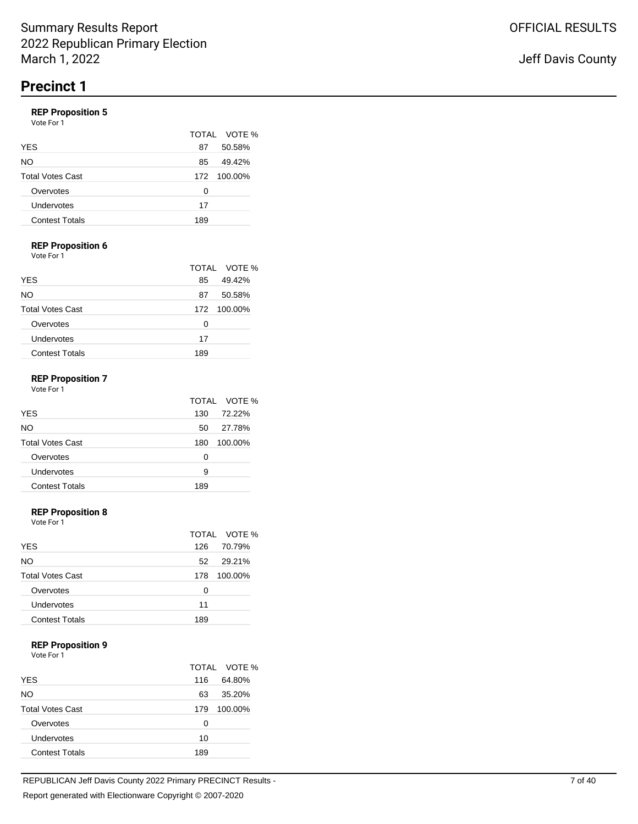# **REP Proposition 5**

|                         |     | TOTAL VOTE % |
|-------------------------|-----|--------------|
| <b>YES</b>              | 87  | 50.58%       |
| NO.                     | 85  | 49.42%       |
| <b>Total Votes Cast</b> | 172 | 100.00%      |
| Overvotes               | Ω   |              |
| Undervotes              | 17  |              |
| <b>Contest Totals</b>   | 189 |              |

## **REP Proposition 6**

Vote For 1

|                         |     | TOTAL VOTE % |
|-------------------------|-----|--------------|
| <b>YES</b>              | 85  | 49.42%       |
| NO                      | 87  | 50.58%       |
| <b>Total Votes Cast</b> |     | 172 100.00%  |
| Overvotes               | 0   |              |
| Undervotes              | 17  |              |
| <b>Contest Totals</b>   | 189 |              |

# **REP Proposition 7**

| Vote For 1 |  |
|------------|--|
|------------|--|

|                         |     | TOTAL VOTE % |
|-------------------------|-----|--------------|
| <b>YES</b>              | 130 | 72.22%       |
| NO.                     | 50  | 27.78%       |
| <b>Total Votes Cast</b> | 180 | 100.00%      |
| Overvotes               | 0   |              |
| Undervotes              | 9   |              |
| <b>Contest Totals</b>   | 189 |              |

#### **REP Proposition 8**

Vote For 1

|                         |     | TOTAL VOTE % |
|-------------------------|-----|--------------|
| <b>YES</b>              | 126 | 70.79%       |
| <b>NO</b>               | 52  | 29.21%       |
| <b>Total Votes Cast</b> | 178 | 100.00%      |
| Overvotes               | 0   |              |
| Undervotes              | 11  |              |
| <b>Contest Totals</b>   | 189 |              |

#### **REP Proposition 9**

|                         |     | TOTAL VOTE % |
|-------------------------|-----|--------------|
| <b>YES</b>              | 116 | 64.80%       |
| NO                      | 63  | 35.20%       |
| <b>Total Votes Cast</b> | 179 | 100.00%      |
| Overvotes               | 0   |              |
| Undervotes              | 10  |              |
| <b>Contest Totals</b>   | 189 |              |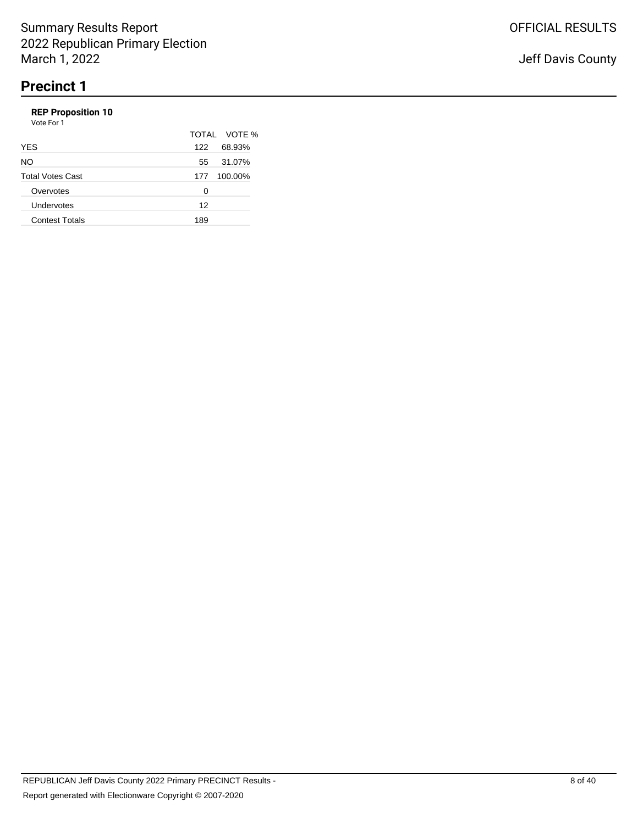# **REP Proposition 10**

|     | TOTAL VOTE % |
|-----|--------------|
| 122 | 68.93%       |
| 55  | 31.07%       |
| 177 | 100.00%      |
| ∩   |              |
| 12  |              |
| 189 |              |
|     |              |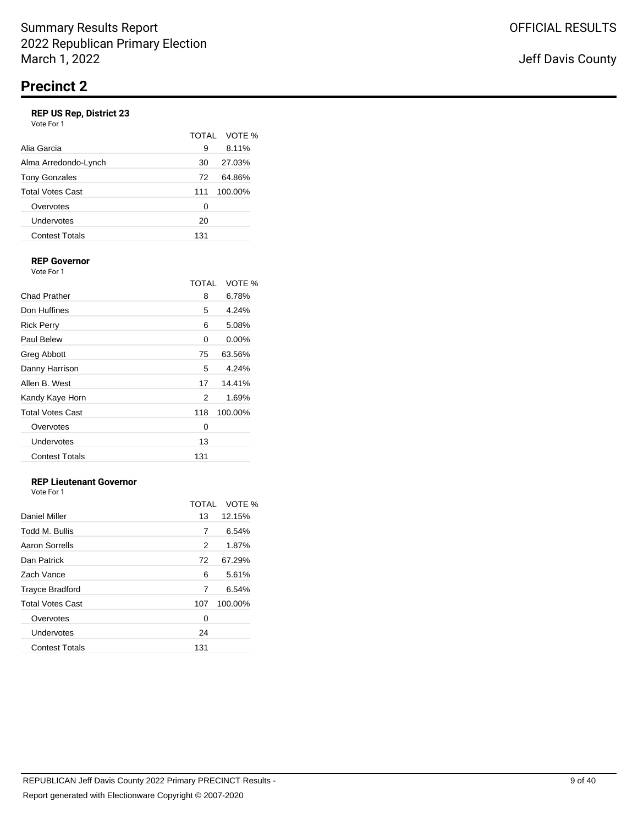# **REP US Rep, District 23**

| <b>REP US Rep. District 23</b><br>Vote For 1 |              |         |
|----------------------------------------------|--------------|---------|
|                                              | <b>TOTAL</b> | VOTE %  |
| Alia Garcia                                  | 9            | 8.11%   |
| Alma Arredondo-Lynch                         | 30           | 27.03%  |
| <b>Tony Gonzales</b>                         | 72           | 64.86%  |
| <b>Total Votes Cast</b>                      | 111          | 100.00% |
| Overvotes                                    | 0            |         |
| Undervotes                                   | 20           |         |
| <b>Contest Totals</b>                        | 131          |         |
|                                              |              |         |

#### **REP Governor** Vote For 1

|                         | TOTAI | VOTE %   |
|-------------------------|-------|----------|
| Chad Prather            | 8     | 6.78%    |
| Don Huffines            | 5     | 4.24%    |
| <b>Rick Perry</b>       | 6     | 5.08%    |
| Paul Belew              | 0     | $0.00\%$ |
| Greg Abbott             | 75    | 63.56%   |
| Danny Harrison          | 5     | 4.24%    |
| Allen B. West           | 17    | 14.41%   |
| Kandy Kaye Horn         | 2     | 1.69%    |
| <b>Total Votes Cast</b> | 118   | 100.00%  |
| Overvotes               | 0     |          |
| Undervotes              | 13    |          |
| <b>Contest Totals</b>   | 131   |          |

# **REP Lieutenant Governor**

| Vote For 1 |  |
|------------|--|
|            |  |

|                         | TOTAL | VOTE %  |
|-------------------------|-------|---------|
| Daniel Miller           | 13    | 12.15%  |
| Todd M. Bullis          | 7     | 6.54%   |
| Aaron Sorrells          | 2     | 1.87%   |
| Dan Patrick             | 72    | 67.29%  |
| Zach Vance              | 6     | 5.61%   |
| <b>Trayce Bradford</b>  | 7     | 6.54%   |
| <b>Total Votes Cast</b> | 107   | 100.00% |
| Overvotes               | 0     |         |
| Undervotes              | 24    |         |
| <b>Contest Totals</b>   | 131   |         |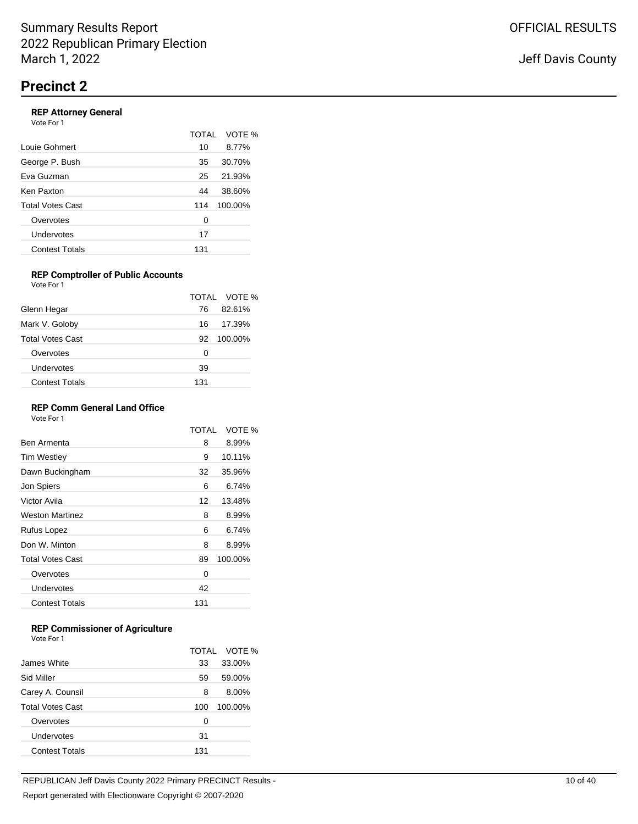### **REP Attorney General**

| Vote For 1            |       |         |
|-----------------------|-------|---------|
|                       | TOTAI | VOTE %  |
| Louie Gohmert         | 10    | 8.77%   |
| George P. Bush        | 35    | 30.70%  |
| Eva Guzman            | 25    | 21.93%  |
| Ken Paxton            | 44    | 38.60%  |
| Total Votes Cast      | 114   | 100.00% |
| Overvotes             | 0     |         |
| Undervotes            | 17    |         |
| <b>Contest Totals</b> | 131   |         |

#### **REP Comptroller of Public Accounts** Vote For 1

|                         |     | TOTAL VOTE % |
|-------------------------|-----|--------------|
| Glenn Hegar             | 76  | 82.61%       |
| Mark V. Goloby          | 16  | 17.39%       |
| <b>Total Votes Cast</b> | 92  | 100.00%      |
| Overvotes               | Ω   |              |
| Undervotes              | 39  |              |
| <b>Contest Totals</b>   | 131 |              |

#### **REP Comm General Land Office**

Vote For 1

|                         | TOTAI | VOTE %  |
|-------------------------|-------|---------|
| Ben Armenta             | 8     | 8.99%   |
| <b>Tim Westley</b>      | 9     | 10.11%  |
| Dawn Buckingham         | 32    | 35.96%  |
| Jon Spiers              | 6     | 6.74%   |
| Victor Avila            | 12    | 13.48%  |
| <b>Weston Martinez</b>  | 8     | 8.99%   |
| Rufus Lopez             | 6     | 6.74%   |
| Don W. Minton           | 8     | 8.99%   |
| <b>Total Votes Cast</b> | 89    | 100.00% |
| Overvotes               | 0     |         |
| Undervotes              | 42    |         |
| <b>Contest Totals</b>   | 131   |         |

## **REP Commissioner of Agriculture**

|                         |     | TOTAL VOTE % |
|-------------------------|-----|--------------|
| James White             | 33  | 33.00%       |
| Sid Miller              | 59  | 59.00%       |
| Carey A. Counsil        | 8   | 8.00%        |
| <b>Total Votes Cast</b> | 100 | 100.00%      |
| Overvotes               | 0   |              |
| Undervotes              | 31  |              |
| <b>Contest Totals</b>   | 131 |              |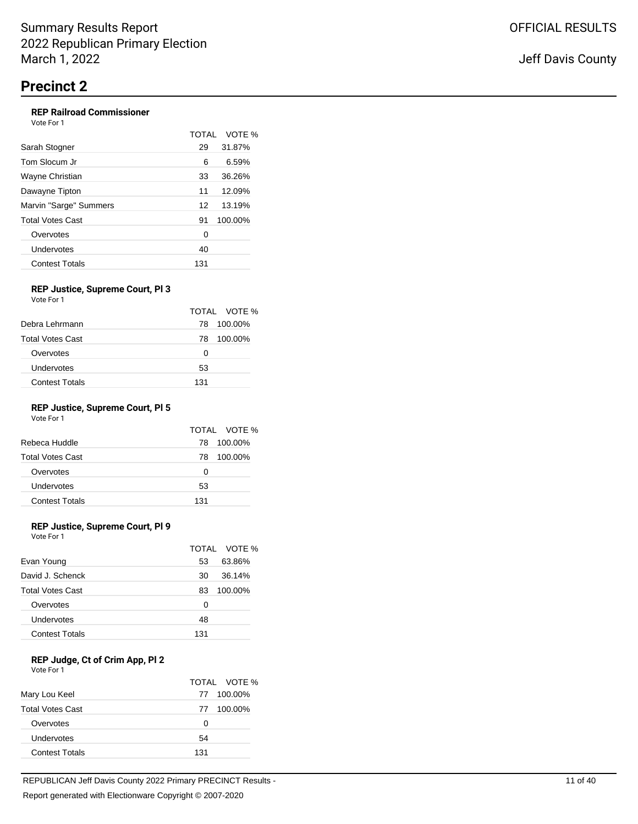## **REP Railroad Commissioner**

| Vote For 1             |       |         |
|------------------------|-------|---------|
|                        | TOTAI | VOTE %  |
| Sarah Stogner          | 29    | 31.87%  |
| Tom Slocum Jr          | 6     | 6.59%   |
| Wayne Christian        | 33    | 36.26%  |
| Dawayne Tipton         | 11    | 12.09%  |
| Marvin "Sarge" Summers | 12    | 13.19%  |
| Total Votes Cast       | 91    | 100.00% |
| Overvotes              | 0     |         |
| Undervotes             | 40    |         |
| <b>Contest Totals</b>  | 131   |         |

#### **REP Justice, Supreme Court, Pl 3** Vote For 1

|                         |     | TOTAL VOTE % |
|-------------------------|-----|--------------|
| Debra Lehrmann          | 78  | 100.00%      |
| <b>Total Votes Cast</b> | 78  | 100.00%      |
| Overvotes               | 0   |              |
| Undervotes              | 53  |              |
| <b>Contest Totals</b>   | 131 |              |

# **REP Justice, Supreme Court, Pl 5**

Vote For 1

|     | TOTAL VOTE % |
|-----|--------------|
| 78  | 100.00%      |
| 78  | 100.00%      |
| 0   |              |
| 53  |              |
| 131 |              |
|     |              |

## **REP Justice, Supreme Court, Pl 9**

Vote For 1

|                         |     | TOTAL VOTE % |
|-------------------------|-----|--------------|
| Evan Young              | 53  | 63.86%       |
| David J. Schenck        | 30  | 36.14%       |
| <b>Total Votes Cast</b> | 83  | 100.00%      |
| Overvotes               | 0   |              |
| Undervotes              | 48  |              |
| <b>Contest Totals</b>   | 131 |              |

### **REP Judge, Ct of Crim App, Pl 2**

| Vote For 1 |  |  |
|------------|--|--|
|------------|--|--|

|                         |     | TOTAL VOTE % |
|-------------------------|-----|--------------|
| Mary Lou Keel           | 77  | 100.00%      |
| <b>Total Votes Cast</b> | 77  | 100.00%      |
| Overvotes               | O   |              |
| Undervotes              | 54  |              |
| <b>Contest Totals</b>   | 131 |              |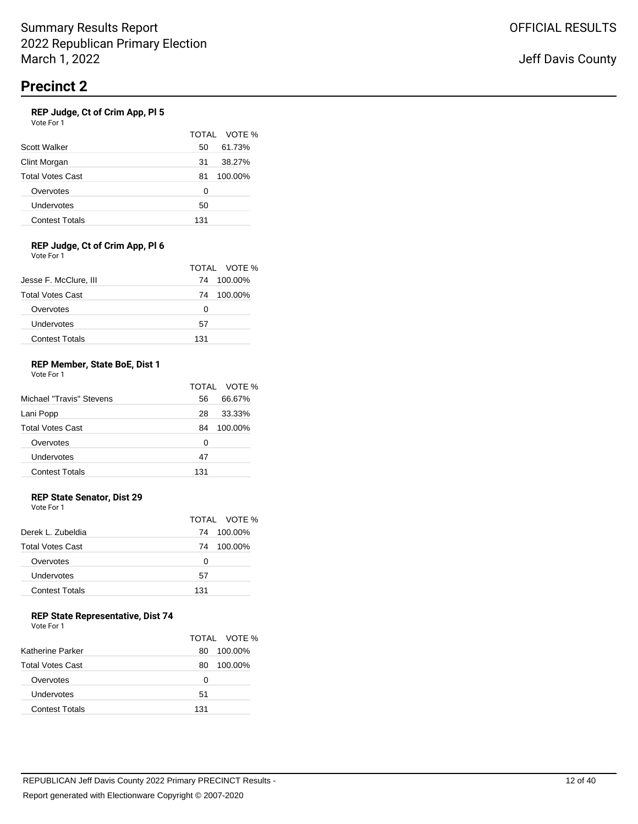### **REP Judge, Ct of Crim App, Pl 5**

| .<br>Vote For 1         |     |              |
|-------------------------|-----|--------------|
|                         |     | TOTAL VOTE % |
| Scott Walker            | 50  | 61.73%       |
| Clint Morgan            | 31  | 38.27%       |
| <b>Total Votes Cast</b> | 81  | 100.00%      |
| Overvotes               | 0   |              |
| Undervotes              | 50  |              |
| <b>Contest Totals</b>   | 131 |              |
|                         |     |              |

#### **REP Judge, Ct of Crim App, Pl 6** Vote For 1

|                         | TOTAL VOTE    |
|-------------------------|---------------|
| Jesse F. McClure, III   | 100.00%<br>74 |
| <b>Total Votes Cast</b> | 100.00%<br>74 |
| Overvotes               | Ω             |
| Undervotes              | 57            |
| <b>Contest Totals</b>   | 131           |

 $\%$ 

#### **REP Member, State BoE, Dist 1** Vote For 1

|                          |     | TOTAL VOTE % |
|--------------------------|-----|--------------|
| Michael "Travis" Stevens | 56  | 66.67%       |
| Lani Popp                | 28  | 33.33%       |
| <b>Total Votes Cast</b>  | 84  | 100.00%      |
| Overvotes                | Ω   |              |
| Undervotes               | 47  |              |
| <b>Contest Totals</b>    | 131 |              |

## **REP State Senator, Dist 29**

Vote For 1

|                         |     | TOTAL VOTE % |
|-------------------------|-----|--------------|
| Derek L. Zubeldia       | 74  | 100.00%      |
| <b>Total Votes Cast</b> | 74  | 100.00%      |
| Overvotes               | O   |              |
| Undervotes              | 57  |              |
| <b>Contest Totals</b>   | 131 |              |

## **REP State Representative, Dist 74**

| Vote For 1 |  |
|------------|--|
|------------|--|

|                         |     | TOTAL VOTE % |
|-------------------------|-----|--------------|
| Katherine Parker        | 80  | 100.00%      |
| <b>Total Votes Cast</b> | 80  | 100.00%      |
| Overvotes               | Ω   |              |
| Undervotes              | 51  |              |
| <b>Contest Totals</b>   | 131 |              |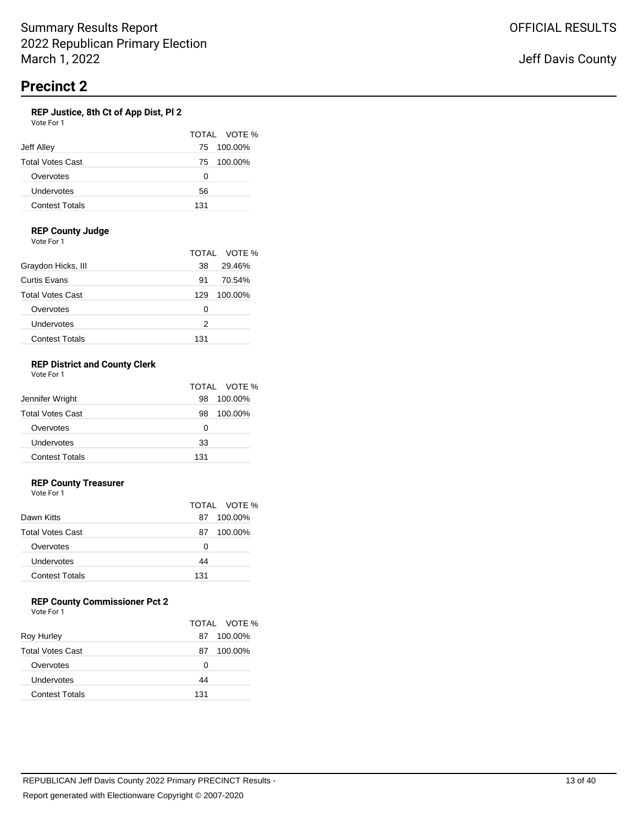#### **REP Justice, 8th Ct of App Dist, Pl 2** Vote For 1

| VULE FUI I              |     |              |
|-------------------------|-----|--------------|
|                         |     | TOTAL VOTE % |
| Jeff Alley              | 75  | 100.00%      |
| <b>Total Votes Cast</b> | 75  | 100.00%      |
| Overvotes               | 0   |              |
| Undervotes              | 56  |              |
| <b>Contest Totals</b>   | 131 |              |

### **REP County Judge**

Vote For 1

|                         |     | TOTAL VOTE % |
|-------------------------|-----|--------------|
| Graydon Hicks, III      | 38  | 29.46%       |
| Curtis Evans            | 91  | 70.54%       |
| <b>Total Votes Cast</b> | 129 | 100.00%      |
| Overvotes               | Ω   |              |
| Undervotes              | 2   |              |
| <b>Contest Totals</b>   | 131 |              |

#### **REP District and County Clerk** Vote For 1

|                         |     | TOTAL VOTE % |
|-------------------------|-----|--------------|
| Jennifer Wright         | 98  | 100.00%      |
| <b>Total Votes Cast</b> | 98  | 100.00%      |
| Overvotes               | 0   |              |
| Undervotes              | 33  |              |
| <b>Contest Totals</b>   | 131 |              |

### **REP County Treasurer**

Vote For 1

|     | TOTAL VOTE % |
|-----|--------------|
| 87  | 100.00%      |
| 87  | 100.00%      |
| 0   |              |
| 44  |              |
| 131 |              |
|     |              |

# **REP County Commissioner Pct 2**

| <b>Roy Hurley</b>       | 87  | TOTAL VOTE %<br>100.00% |
|-------------------------|-----|-------------------------|
| <b>Total Votes Cast</b> | 87  | 100.00%                 |
| Overvotes               | Ω   |                         |
| Undervotes              | 44  |                         |
| <b>Contest Totals</b>   | 131 |                         |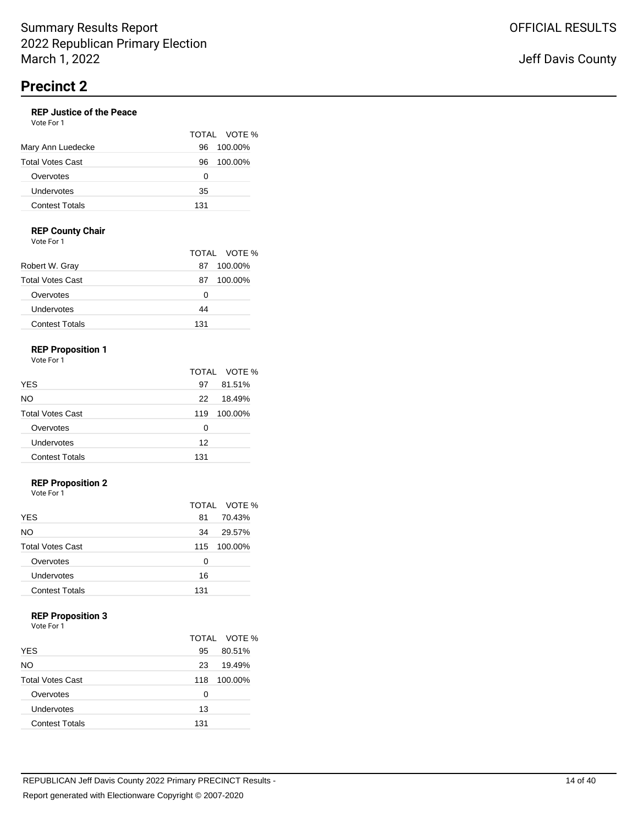#### **REP Justice of the Peace** Vote For 1

|                       |     | TOTAL VOTE % |
|-----------------------|-----|--------------|
| Mary Ann Luedecke     | 96  | 100.00%      |
| Total Votes Cast      | 96  | 100.00%      |
| Overvotes             | Ω   |              |
| Undervotes            | 35  |              |
| <b>Contest Totals</b> | 131 |              |

### **REP County Chair**

Vote For 1

|                         | TOTAL VOTE % |         |
|-------------------------|--------------|---------|
| Robert W. Gray          | 87           | 100.00% |
| <b>Total Votes Cast</b> | 87           | 100.00% |
| Overvotes               | Ω            |         |
| Undervotes              | 44           |         |
| <b>Contest Totals</b>   | 131          |         |

# **REP Proposition 1**

Vote For 1

|                         |     | TOTAL VOTE % |
|-------------------------|-----|--------------|
| <b>YES</b>              | 97  | 81.51%       |
| NO.                     | 22  | 18.49%       |
| <b>Total Votes Cast</b> | 119 | 100.00%      |
| Overvotes               | O   |              |
| Undervotes              | 12  |              |
| <b>Contest Totals</b>   | 131 |              |

## **REP Proposition 2**

Vote For 1

|                         |     | TOTAL VOTE % |
|-------------------------|-----|--------------|
| <b>YES</b>              | 81  | 70.43%       |
| NO.                     | 34  | 29.57%       |
| <b>Total Votes Cast</b> | 115 | 100.00%      |
| Overvotes               | Ω   |              |
| Undervotes              | 16  |              |
| <b>Contest Totals</b>   | 131 |              |

### **REP Proposition 3**

|                         |     | TOTAL VOTE % |
|-------------------------|-----|--------------|
| <b>YES</b>              | 95  | 80.51%       |
| NO.                     | 23  | 19.49%       |
| <b>Total Votes Cast</b> | 118 | 100.00%      |
| Overvotes               | 0   |              |
| Undervotes              | 13  |              |
| <b>Contest Totals</b>   | 131 |              |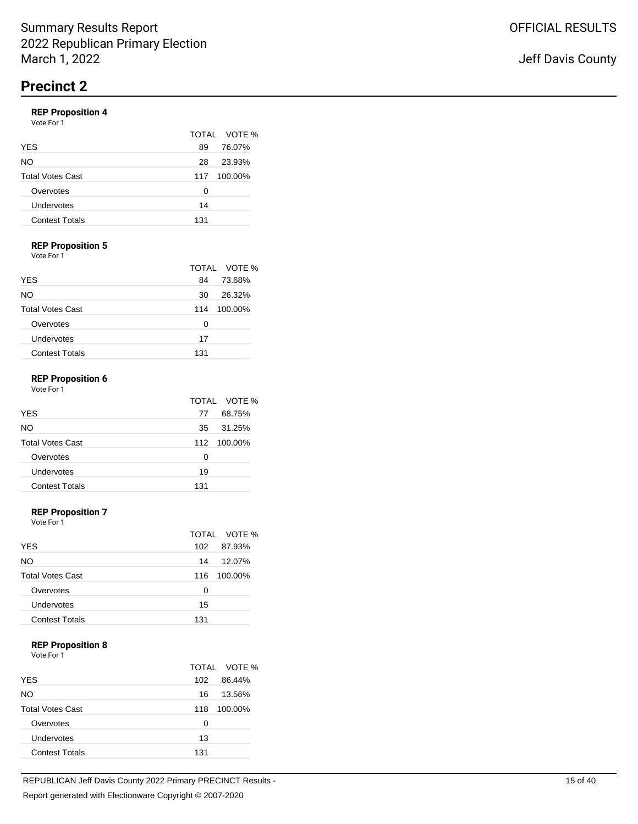# **REP Proposition 4**

|  | Vote For 1 |  |
|--|------------|--|
|  |            |  |

|                         |     | TOTAL VOTE % |
|-------------------------|-----|--------------|
| <b>YES</b>              | 89  | 76.07%       |
| NO.                     | 28  | 23.93%       |
| <b>Total Votes Cast</b> | 117 | 100.00%      |
| Overvotes               | Ω   |              |
| Undervotes              | 14  |              |
| <b>Contest Totals</b>   | 131 |              |

# **REP Proposition 5**

Vote For 1

|                         |     | TOTAL VOTE % |
|-------------------------|-----|--------------|
| <b>YES</b>              | 84  | 73.68%       |
| NO                      | 30  | 26.32%       |
| <b>Total Votes Cast</b> | 114 | 100.00%      |
| Overvotes               | Ω   |              |
| Undervotes              | 17  |              |
| <b>Contest Totals</b>   | 131 |              |

### **REP Proposition 6**

| Vote For 1              |     |              |
|-------------------------|-----|--------------|
|                         |     | TOTAL VOTE % |
| <b>YES</b>              | 77  | 68.75%       |
| NO.                     | 35  | 31.25%       |
| <b>Total Votes Cast</b> |     | 112 100.00%  |
| Overvotes               | Ω   |              |
| Undervotes              | 19  |              |
| <b>Contest Totals</b>   | 131 |              |

#### **REP Proposition 7**

Vote For 1

|                         |     | TOTAL VOTE % |
|-------------------------|-----|--------------|
| <b>YES</b>              | 102 | 87.93%       |
| <b>NO</b>               | 14  | 12.07%       |
| <b>Total Votes Cast</b> | 116 | 100.00%      |
| Overvotes               | 0   |              |
| Undervotes              | 15  |              |
| <b>Contest Totals</b>   | 131 |              |

#### **REP Proposition 8**

Vote For 1

|                         |     | TOTAL VOTE % |
|-------------------------|-----|--------------|
| <b>YES</b>              | 102 | 86.44%       |
| NO.                     | 16  | 13.56%       |
| <b>Total Votes Cast</b> | 118 | 100.00%      |
| Overvotes               | 0   |              |
| Undervotes              | 13  |              |
| <b>Contest Totals</b>   | 131 |              |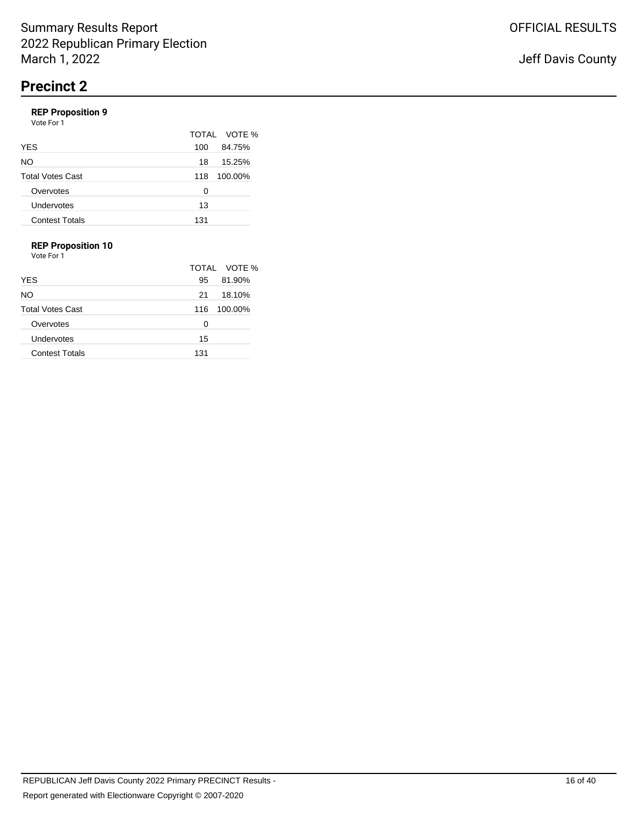# **REP Proposition 9**

|                         |     | TOTAL VOTE % |
|-------------------------|-----|--------------|
| <b>YES</b>              | 100 | 84.75%       |
| <b>NO</b>               | 18  | 15.25%       |
| <b>Total Votes Cast</b> | 118 | 100.00%      |
| Overvotes               | O   |              |
| Undervotes              | 13  |              |
| <b>Contest Totals</b>   | 131 |              |

## **REP Proposition 10**

|                         |     | TOTAL VOTE % |
|-------------------------|-----|--------------|
| <b>YES</b>              | 95  | 81.90%       |
| NO.                     | 21  | 18.10%       |
| <b>Total Votes Cast</b> | 116 | 100.00%      |
| Overvotes               | 0   |              |
| Undervotes              | 15  |              |
| <b>Contest Totals</b>   | 131 |              |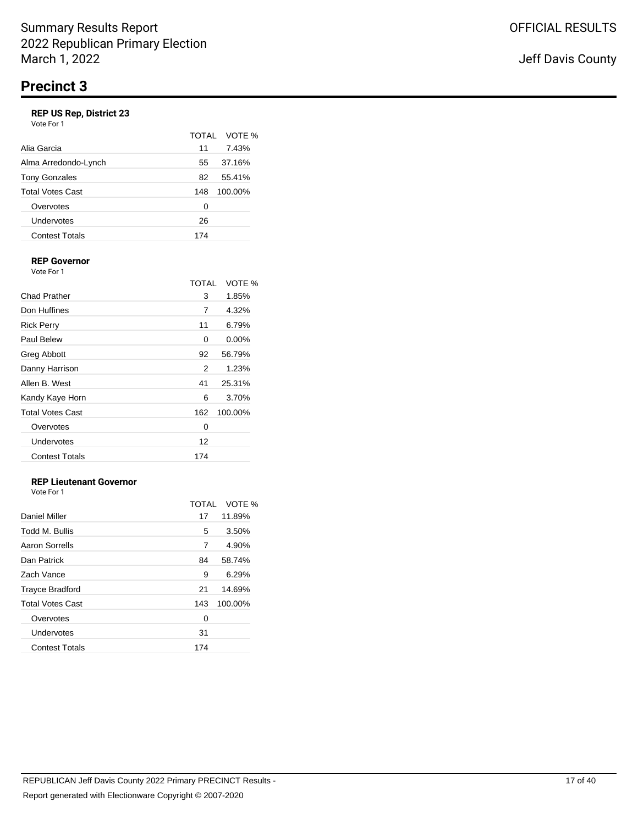# **REP US Rep, District 23**

| Vote For 1 |  |
|------------|--|
|------------|--|

|                         |     | TOTAL VOTE % |
|-------------------------|-----|--------------|
| Alia Garcia             | 11  | 7.43%        |
| Alma Arredondo-Lynch    | 55  | 37.16%       |
| <b>Tony Gonzales</b>    | 82  | 55.41%       |
| <b>Total Votes Cast</b> | 148 | 100.00%      |
| Overvotes               | O   |              |
| Undervotes              | 26  |              |
| <b>Contest Totals</b>   | 174 |              |

#### **REP Governor** Vote For 1

|                         | <b>TOTAL</b> | VOTE %   |
|-------------------------|--------------|----------|
| Chad Prather            | 3            | 1.85%    |
| Don Huffines            | 7            | 4.32%    |
| <b>Rick Perry</b>       | 11           | 6.79%    |
| <b>Paul Belew</b>       | 0            | $0.00\%$ |
| <b>Greg Abbott</b>      | 92           | 56.79%   |
| Danny Harrison          | 2            | 1.23%    |
| Allen B. West           | 41           | 25.31%   |
| Kandy Kaye Horn         | 6            | 3.70%    |
| <b>Total Votes Cast</b> | 162          | 100.00%  |
| Overvotes               | 0            |          |
| Undervotes              | 12           |          |
| <b>Contest Totals</b>   | 174          |          |

# **REP Lieutenant Governor**

|                         | TOTAL | VOTE %  |
|-------------------------|-------|---------|
| Daniel Miller           | 17    | 11.89%  |
| Todd M. Bullis          | 5     | 3.50%   |
| Aaron Sorrells          | 7     | 4.90%   |
| Dan Patrick             | 84    | 58.74%  |
| Zach Vance              | 9     | 6.29%   |
| <b>Trayce Bradford</b>  | 21    | 14.69%  |
| <b>Total Votes Cast</b> | 143   | 100.00% |
| Overvotes               | 0     |         |
| Undervotes              | 31    |         |
| <b>Contest Totals</b>   | 174   |         |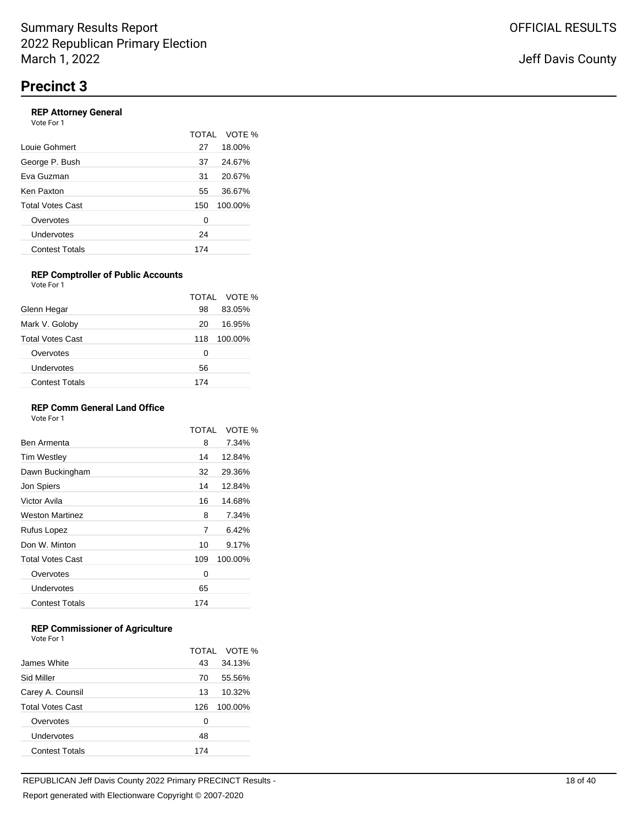## **REP Attorney General**

| Vote For 1              |     |              |
|-------------------------|-----|--------------|
|                         |     | TOTAL VOTE % |
| Louie Gohmert           | 27  | 18.00%       |
| George P. Bush          | 37  | 24.67%       |
| Eva Guzman              | 31  | 20.67%       |
| Ken Paxton              | 55  | 36.67%       |
| <b>Total Votes Cast</b> | 150 | 100.00%      |
| Overvotes               | 0   |              |
| Undervotes              | 24  |              |
| <b>Contest Totals</b>   | 174 |              |
|                         |     |              |

#### **REP Comptroller of Public Accounts** Vote For 1

|                         |     | TOTAL VOTE % |
|-------------------------|-----|--------------|
| Glenn Hegar             | 98  | 83.05%       |
| Mark V. Goloby          | 20  | 16.95%       |
| <b>Total Votes Cast</b> | 118 | 100.00%      |
| Overvotes               | O   |              |
| Undervotes              | 56  |              |
| <b>Contest Totals</b>   | 174 |              |

### **REP Comm General Land Office**

Vote For 1

|                         | TOTAI | VOTE %  |
|-------------------------|-------|---------|
| Ben Armenta             | 8     | 7.34%   |
| <b>Tim Westley</b>      | 14    | 12.84%  |
| Dawn Buckingham         | 32    | 29.36%  |
| Jon Spiers              | 14    | 12.84%  |
| Victor Avila            | 16    | 14.68%  |
| <b>Weston Martinez</b>  | 8     | 7.34%   |
| Rufus Lopez             | 7     | 6.42%   |
| Don W. Minton           | 10    | 9.17%   |
| <b>Total Votes Cast</b> | 109   | 100.00% |
| Overvotes               | 0     |         |
| Undervotes              | 65    |         |
| <b>Contest Totals</b>   | 174   |         |
|                         |       |         |

### **REP Commissioner of Agriculture**

|                         | TOTAI | VOTE %  |
|-------------------------|-------|---------|
| James White             | 43    | 34.13%  |
| Sid Miller              | 70    | 55.56%  |
| Carey A. Counsil        | 13    | 10.32%  |
| <b>Total Votes Cast</b> | 126   | 100.00% |
| Overvotes               | 0     |         |
| Undervotes              | 48    |         |
| <b>Contest Totals</b>   | 174   |         |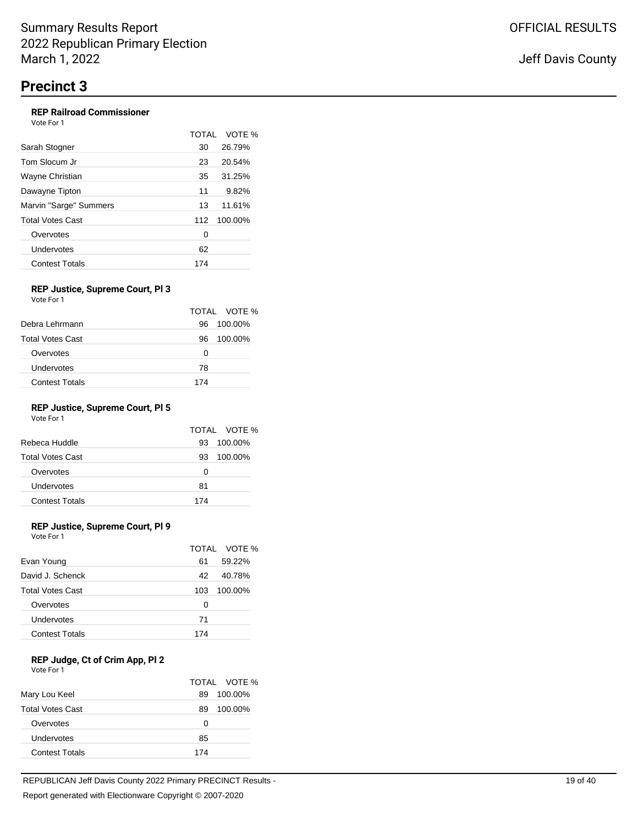#### **REP Railroad Commissioner** Vote For 1

|                        | <b>TOTAL</b> | VOTE %  |
|------------------------|--------------|---------|
| Sarah Stogner          | 30           | 26.79%  |
| Tom Slocum Jr          | 23           | 20.54%  |
| Wayne Christian        | 35           | 31.25%  |
| Dawayne Tipton         | 11           | 9.82%   |
| Marvin "Sarge" Summers | 13           | 11.61%  |
| Total Votes Cast       | 112          | 100.00% |
| Overvotes              | 0            |         |
| Undervotes             | 62           |         |
| <b>Contest Totals</b>  | 174          |         |

#### **REP Justice, Supreme Court, Pl 3** Vote For 1

|                         |     | TOTAL VOTE % |
|-------------------------|-----|--------------|
| Debra Lehrmann          | 96  | 100.00%      |
| <b>Total Votes Cast</b> | 96  | 100.00%      |
| Overvotes               | 0   |              |
| Undervotes              | 78  |              |
| <b>Contest Totals</b>   | 174 |              |

# **REP Justice, Supreme Court, Pl 5**

Vote For 1

|                         |     | TOTAL VOTE % |
|-------------------------|-----|--------------|
| Rebeca Huddle           | 93  | 100.00%      |
| <b>Total Votes Cast</b> | 93  | 100.00%      |
| Overvotes               | O   |              |
| Undervotes              | 81  |              |
| <b>Contest Totals</b>   | 174 |              |

## **REP Justice, Supreme Court, Pl 9**

Vote For 1

|                         |     | TOTAL VOTE % |
|-------------------------|-----|--------------|
| Evan Young              | 61  | 59.22%       |
| David J. Schenck        | 42  | 40.78%       |
| <b>Total Votes Cast</b> | 103 | 100.00%      |
| Overvotes               | 0   |              |
| Undervotes              | 71  |              |
| <b>Contest Totals</b>   | 174 |              |

## **REP Judge, Ct of Crim App, Pl 2**

| Vote For 1 |  |
|------------|--|
|------------|--|

|                         |     | TOTAL VOTE % |
|-------------------------|-----|--------------|
| Mary Lou Keel           | 89  | 100.00%      |
| <b>Total Votes Cast</b> | 89  | 100.00%      |
| Overvotes               | 0   |              |
| Undervotes              | 85  |              |
| <b>Contest Totals</b>   | 174 |              |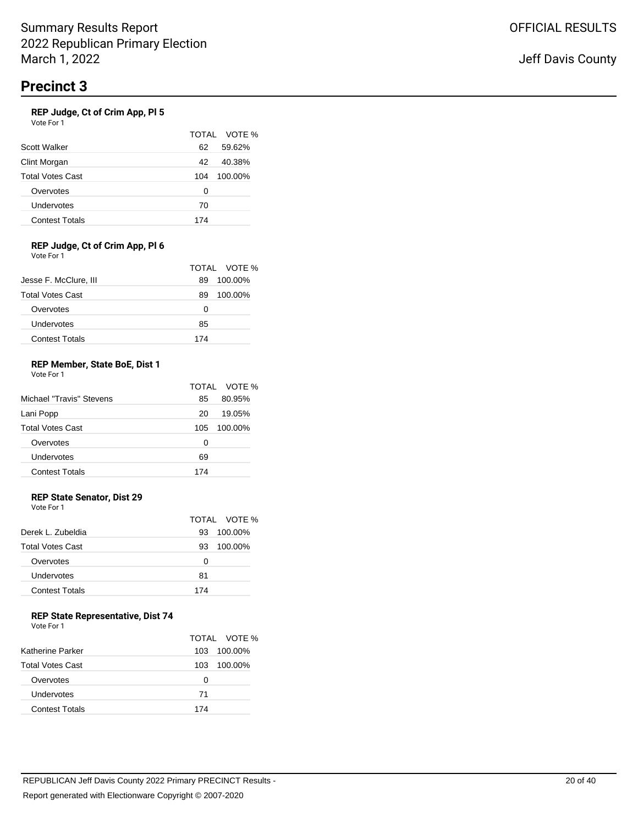### **REP Judge, Ct of Crim App, Pl 5**

Vote For 1

|                         |     | TOTAL VOTE % |
|-------------------------|-----|--------------|
| Scott Walker            | 62  | 59.62%       |
| Clint Morgan            | 42  | 40.38%       |
| <b>Total Votes Cast</b> | 104 | 100.00%      |
| Overvotes               | 0   |              |
| Undervotes              | 70  |              |
| <b>Contest Totals</b>   | 174 |              |

#### **REP Judge, Ct of Crim App, Pl 6** Vote For 1

|                         |     | TOTAL VOTE % |
|-------------------------|-----|--------------|
| Jesse F. McClure, III   | 89  | 100.00%      |
| <b>Total Votes Cast</b> | 89  | 100.00%      |
| Overvotes               | O   |              |
| Undervotes              | 85  |              |
| <b>Contest Totals</b>   | 174 |              |

#### **REP Member, State BoE, Dist 1** Vote For 1

|                          |     | TOTAL VOTE % |
|--------------------------|-----|--------------|
| Michael "Travis" Stevens | 85  | 80.95%       |
| Lani Popp                | 20  | 19.05%       |
| <b>Total Votes Cast</b>  | 105 | 100.00%      |
| Overvotes                | 0   |              |
| Undervotes               | 69  |              |
| <b>Contest Totals</b>    | 174 |              |

# **REP State Senator, Dist 29**

Vote For 1

|                         |     | TOTAL VOTE % |
|-------------------------|-----|--------------|
| Derek L. Zubeldia       | 93  | 100.00%      |
| <b>Total Votes Cast</b> | 93  | 100.00%      |
| Overvotes               | Ω   |              |
| Undervotes              | 81  |              |
| <b>Contest Totals</b>   | 174 |              |
|                         |     |              |

## **REP State Representative, Dist 74**

| Vote For 1 |  |
|------------|--|
|------------|--|

|                         |     | TOTAL VOTE % |
|-------------------------|-----|--------------|
| Katherine Parker        | 103 | 100.00%      |
| <b>Total Votes Cast</b> | 103 | 100.00%      |
| Overvotes               | Ω   |              |
| Undervotes              | 71  |              |
| <b>Contest Totals</b>   | 174 |              |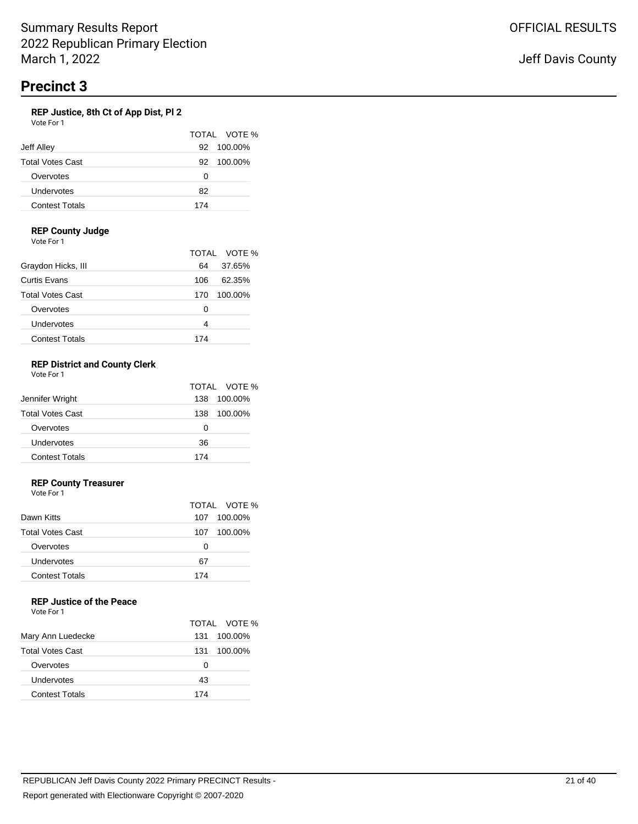### **REP Justice, 8th Ct of App Dist, Pl 2**

| Vote For 1              |               |
|-------------------------|---------------|
|                         | TOTAL VOTE    |
| Jeff Alley              | 100.00%<br>92 |
| <b>Total Votes Cast</b> | 100.00%<br>92 |
| Overvotes               | 0             |
| Undervotes              | 82            |
| <b>Contest Totals</b>   | 174           |

 $\%$ 

### **REP County Judge**

Vote For 1

|                         |     | TOTAL VOTE % |
|-------------------------|-----|--------------|
| Graydon Hicks, III      | 64  | 37.65%       |
| Curtis Evans            | 106 | 62.35%       |
| <b>Total Votes Cast</b> | 170 | 100.00%      |
| Overvotes               | Ω   |              |
| Undervotes              | 4   |              |
| <b>Contest Totals</b>   | 174 |              |

#### **REP District and County Clerk** Vote For 1

| <u>vuusi UII</u>        |                |
|-------------------------|----------------|
|                         | TOTAL VOTE %   |
| Jennifer Wright         | 100.00%<br>138 |
| <b>Total Votes Cast</b> | 100.00%<br>138 |
| Overvotes               | O              |
| Undervotes              | 36             |
| <b>Contest Totals</b>   | 174            |

### **REP County Treasurer**

Vote For 1

|                         |     | TOTAL VOTE % |
|-------------------------|-----|--------------|
| Dawn Kitts              |     | 107 100.00%  |
| <b>Total Votes Cast</b> | 107 | 100.00%      |
| Overvotes               | 0   |              |
| Undervotes              | 67  |              |
| <b>Contest Totals</b>   | 174 |              |

# **REP Justice of the Peace**

|                         |     | TOTAL VOTE % |
|-------------------------|-----|--------------|
| Mary Ann Luedecke       | 131 | 100.00%      |
| <b>Total Votes Cast</b> | 131 | 100.00%      |
| Overvotes               | O   |              |
| Undervotes              | 43  |              |
| <b>Contest Totals</b>   | 174 |              |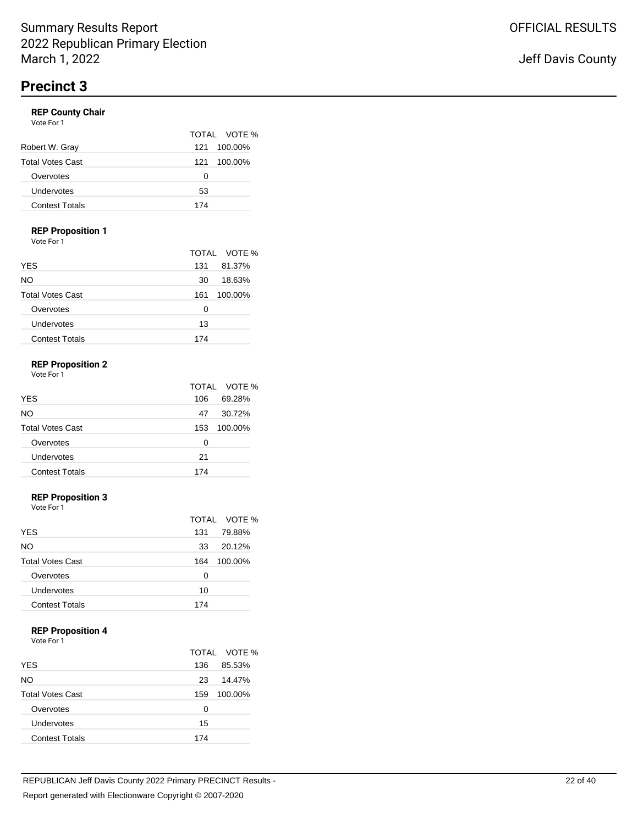## **REP County Chair**

| Vote For 1              |                |
|-------------------------|----------------|
|                         | TOTAL VOTE %   |
| Robert W. Gray          | 100.00%<br>121 |
| <b>Total Votes Cast</b> | 100.00%<br>121 |
| Overvotes               | O              |
| Undervotes              | 53             |
| <b>Contest Totals</b>   | 174            |

### **REP Proposition 1**

Vote For 1

|                         |     | TOTAL VOTE % |
|-------------------------|-----|--------------|
| <b>YES</b>              | 131 | 81.37%       |
| NO.                     | 30  | 18.63%       |
| <b>Total Votes Cast</b> | 161 | 100.00%      |
| Overvotes               | Ω   |              |
| Undervotes              | 13  |              |
| <b>Contest Totals</b>   | 174 |              |

#### **REP Proposition 2** For 1

| ٠<br>I<br>× |  |
|-------------|--|
|-------------|--|

|                         |     | TOTAL VOTE % |
|-------------------------|-----|--------------|
| <b>YES</b>              | 106 | 69.28%       |
| NO.                     | 47  | 30.72%       |
| <b>Total Votes Cast</b> | 153 | 100.00%      |
| Overvotes               | Ω   |              |
| Undervotes              | 21  |              |
| <b>Contest Totals</b>   | 174 |              |

# **REP Proposition 3**

Vote For 1

|                         |     | TOTAL VOTE % |
|-------------------------|-----|--------------|
| <b>YES</b>              | 131 | 79.88%       |
| NO                      | 33  | 20.12%       |
| <b>Total Votes Cast</b> | 164 | 100.00%      |
| Overvotes               | Ω   |              |
| Undervotes              | 10  |              |
| <b>Contest Totals</b>   | 174 |              |

## **REP Proposition 4**

|                         |     | TOTAL VOTE % |
|-------------------------|-----|--------------|
| <b>YES</b>              | 136 | 85.53%       |
| <b>NO</b>               | 23  | 14.47%       |
| <b>Total Votes Cast</b> | 159 | 100.00%      |
| Overvotes               | 0   |              |
| Undervotes              | 15  |              |
| <b>Contest Totals</b>   | 174 |              |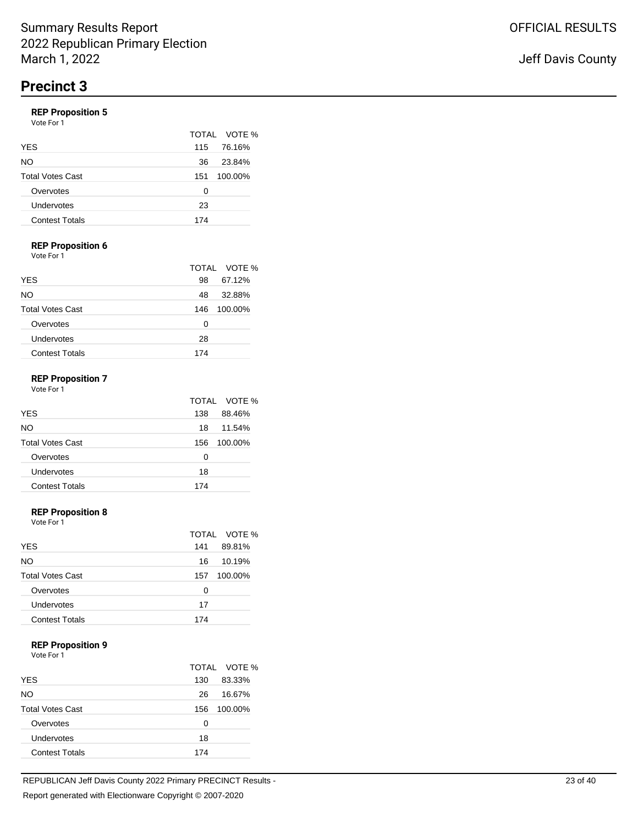# **REP Proposition 5**

|  | Vote For 1 |  |
|--|------------|--|
|  |            |  |

|                         |     | TOTAL VOTE % |
|-------------------------|-----|--------------|
| <b>YES</b>              | 115 | 76.16%       |
| NO                      | 36  | 23.84%       |
| <b>Total Votes Cast</b> | 151 | 100.00%      |
| Overvotes               | 0   |              |
| Undervotes              | 23  |              |
| <b>Contest Totals</b>   | 174 |              |

# **REP Proposition 6**

Vote For 1

|                         |     | TOTAL VOTE % |
|-------------------------|-----|--------------|
| <b>YES</b>              | 98  | 67.12%       |
| NO                      | 48  | 32.88%       |
| <b>Total Votes Cast</b> | 146 | 100.00%      |
| Overvotes               | Ω   |              |
| Undervotes              | 28  |              |
| <b>Contest Totals</b>   | 174 |              |

## **REP Proposition 7**

|                         |     | TOTAL VOTE % |
|-------------------------|-----|--------------|
| <b>YES</b>              | 138 | 88.46%       |
| NO.                     | 18  | 11.54%       |
| <b>Total Votes Cast</b> | 156 | 100.00%      |
| Overvotes               | Ω   |              |
| Undervotes              | 18  |              |
| <b>Contest Totals</b>   | 174 |              |

#### **REP Proposition 8**

Vote For 1

|                         |     | TOTAL VOTE % |
|-------------------------|-----|--------------|
| <b>YES</b>              | 141 | 89.81%       |
| <b>NO</b>               | 16  | 10.19%       |
| <b>Total Votes Cast</b> | 157 | 100.00%      |
| Overvotes               | 0   |              |
| Undervotes              | 17  |              |
| <b>Contest Totals</b>   | 174 |              |

#### **REP Proposition 9**

|                         |     | TOTAL VOTE % |
|-------------------------|-----|--------------|
| <b>YES</b>              | 130 | 83.33%       |
| NO                      | 26  | 16.67%       |
| <b>Total Votes Cast</b> | 156 | 100.00%      |
| Overvotes               | 0   |              |
| Undervotes              | 18  |              |
| <b>Contest Totals</b>   | 174 |              |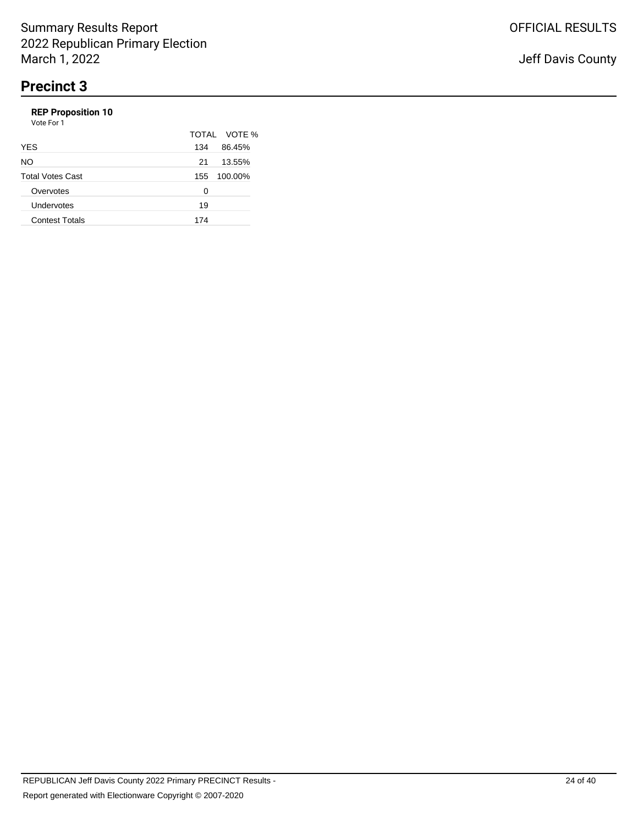# **REP Proposition 10**

| Vote For 1              |     |              |
|-------------------------|-----|--------------|
|                         |     | TOTAL VOTE % |
| <b>YES</b>              | 134 | 86.45%       |
| NO.                     | 21  | 13.55%       |
| <b>Total Votes Cast</b> | 155 | 100.00%      |
| Overvotes               | Ω   |              |
| Undervotes              | 19  |              |
| <b>Contest Totals</b>   | 174 |              |
|                         |     |              |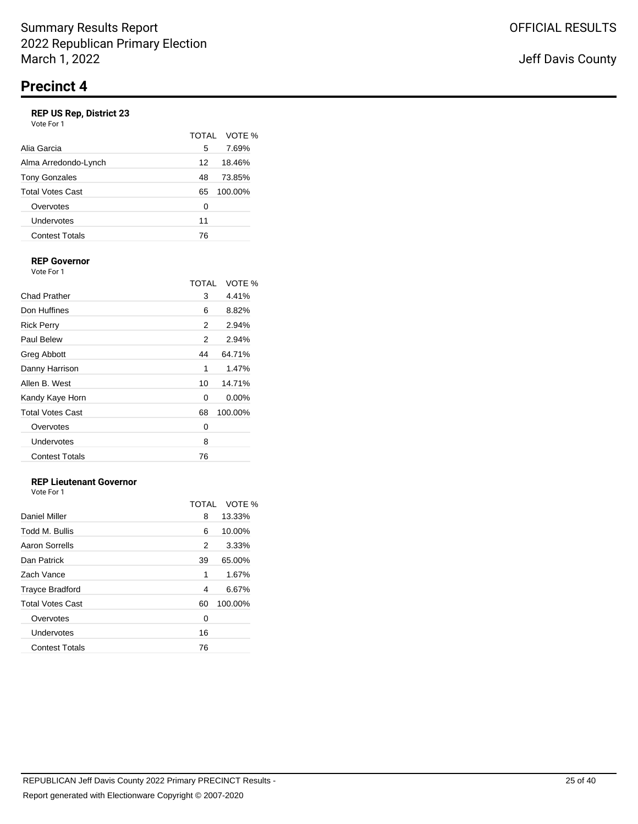# **REP US Rep, District 23**

|                       | TOTAI | VOTE %  |
|-----------------------|-------|---------|
| Alia Garcia           | 5     | 7.69%   |
| Alma Arredondo-Lynch  | 12    | 18.46%  |
| <b>Tony Gonzales</b>  | 48    | 73.85%  |
| Total Votes Cast      | 65    | 100.00% |
| Overvotes             | O     |         |
| Undervotes            | 11    |         |
| <b>Contest Totals</b> | 76    |         |

#### **REP Governor** Vote For 1

|                         | TOTAI | VOTE %   |
|-------------------------|-------|----------|
| Chad Prather            | 3     | 4.41%    |
| Don Huffines            | 6     | 8.82%    |
| <b>Rick Perry</b>       | 2     | 2.94%    |
| Paul Belew              | 2     | 2.94%    |
| Greg Abbott             | 44    | 64.71%   |
| Danny Harrison          | 1     | 1.47%    |
| Allen B. West           | 10    | 14.71%   |
| Kandy Kaye Horn         | 0     | $0.00\%$ |
| <b>Total Votes Cast</b> | 68    | 100.00%  |
| Overvotes               | 0     |          |
| Undervotes              | 8     |          |
| <b>Contest Totals</b>   | 76    |          |

# **REP Lieutenant Governor**

|                         | TOTAL | VOTE %  |
|-------------------------|-------|---------|
| Daniel Miller           | 8     | 13.33%  |
| Todd M. Bullis          | 6     | 10.00%  |
| Aaron Sorrells          | 2     | 3.33%   |
| Dan Patrick             | 39    | 65.00%  |
| Zach Vance              | 1     | 1.67%   |
| <b>Trayce Bradford</b>  | 4     | 6.67%   |
| <b>Total Votes Cast</b> | 60    | 100.00% |
| Overvotes               | 0     |         |
| Undervotes              | 16    |         |
| <b>Contest Totals</b>   | 76    |         |
|                         |       |         |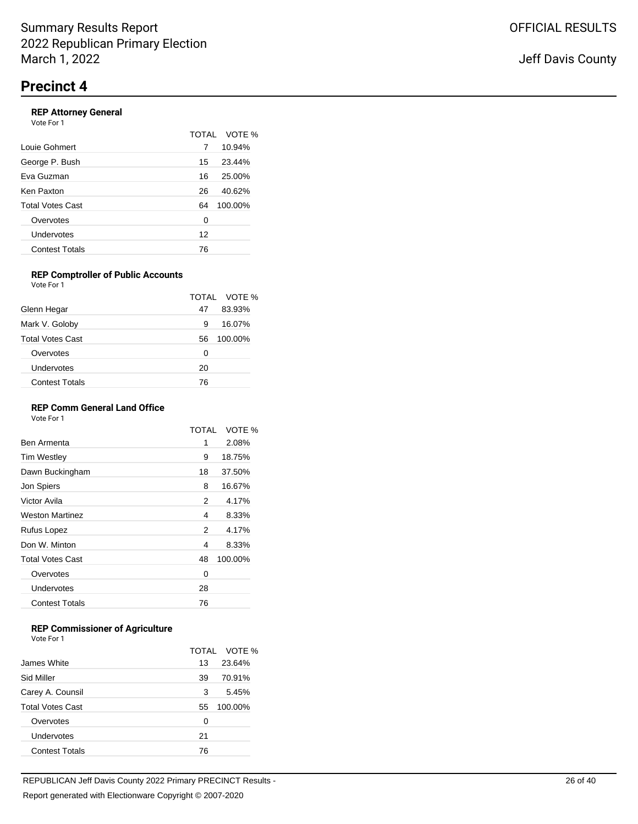### **REP Attorney General**

| Vote For 1              |    |              |
|-------------------------|----|--------------|
|                         |    | TOTAL VOTE % |
| Louie Gohmert           | 7  | 10.94%       |
| George P. Bush          | 15 | 23.44%       |
| Eva Guzman              | 16 | 25.00%       |
| Ken Paxton              | 26 | 40.62%       |
| <b>Total Votes Cast</b> | 64 | 100.00%      |
| Overvotes               | 0  |              |
| Undervotes              | 12 |              |
| <b>Contest Totals</b>   | 76 |              |
|                         |    |              |

#### **REP Comptroller of Public Accounts** Vote For 1

|                         |    | TOTAL VOTE % |
|-------------------------|----|--------------|
| Glenn Hegar             | 47 | 83.93%       |
| Mark V. Goloby          | 9  | 16.07%       |
| <b>Total Votes Cast</b> | 56 | 100.00%      |
| Overvotes               | 0  |              |
| Undervotes              | 20 |              |
| <b>Contest Totals</b>   | 76 |              |

### **REP Comm General Land Office**

Vote For 1

|                         | TOTAI | VOTE %  |
|-------------------------|-------|---------|
| Ben Armenta             | 1     | 2.08%   |
| <b>Tim Westley</b>      | 9     | 18.75%  |
| Dawn Buckingham         | 18    | 37.50%  |
| Jon Spiers              | 8     | 16.67%  |
| Victor Avila            | 2     | 4.17%   |
| <b>Weston Martinez</b>  | 4     | 8.33%   |
| Rufus Lopez             | 2     | 4.17%   |
| Don W. Minton           | 4     | 8.33%   |
| <b>Total Votes Cast</b> | 48    | 100.00% |
| Overvotes               | 0     |         |
| Undervotes              | 28    |         |
| <b>Contest Totals</b>   | 76    |         |
|                         |       |         |

## **REP Commissioner of Agriculture**

|                         |    | TOTAL VOTE % |
|-------------------------|----|--------------|
| James White             | 13 | 23.64%       |
| Sid Miller              | 39 | 70.91%       |
| Carey A. Counsil        | 3  | 5.45%        |
| <b>Total Votes Cast</b> | 55 | 100.00%      |
| Overvotes               | 0  |              |
| Undervotes              | 21 |              |
| <b>Contest Totals</b>   | 76 |              |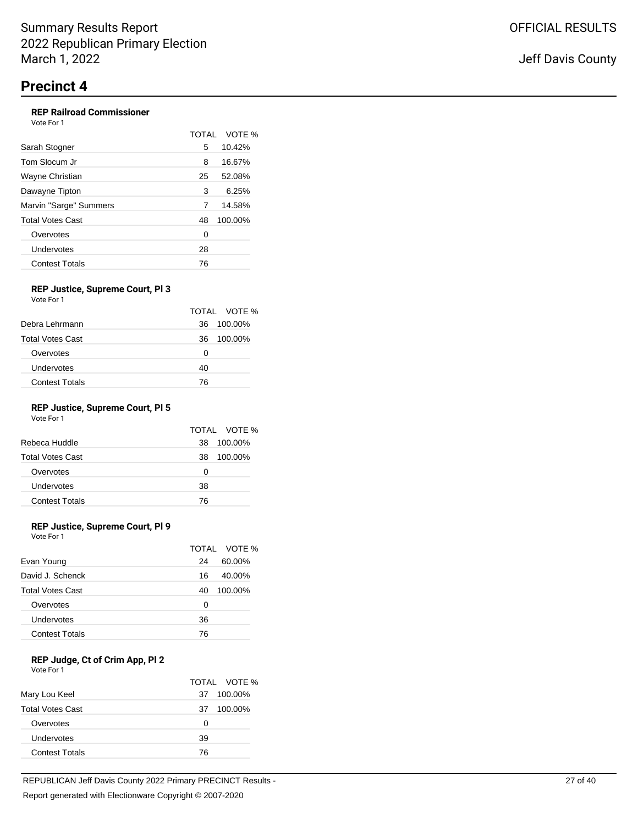## **REP Railroad Commissioner**

| Vote For 1             |              |         |
|------------------------|--------------|---------|
|                        | <b>TOTAL</b> | VOTE %  |
| Sarah Stogner          | 5            | 10.42%  |
| Tom Slocum Jr          | 8            | 16.67%  |
| Wayne Christian        | 25           | 52.08%  |
| Dawayne Tipton         | 3            | 6.25%   |
| Marvin "Sarge" Summers | 7            | 14.58%  |
| Total Votes Cast       | 48           | 100.00% |
| Overvotes              | 0            |         |
| Undervotes             | 28           |         |
| <b>Contest Totals</b>  | 76           |         |

#### **REP Justice, Supreme Court, Pl 3** Vote For 1

|    | TOTAL VOTE % |
|----|--------------|
| 36 | 100.00%      |
| 36 | 100.00%      |
| O  |              |
| 40 |              |
| 76 |              |
|    |              |

## **REP Justice, Supreme Court, Pl 5**

Vote For 1

| 38 |         |
|----|---------|
|    | 100.00% |
| 38 | 100.00% |
| 0  |         |
| 38 |         |
| 76 |         |
|    |         |

## **REP Justice, Supreme Court, Pl 9**

Vote For 1

|                         |    | TOTAL VOTE % |
|-------------------------|----|--------------|
| Evan Young              | 24 | 60.00%       |
| David J. Schenck        | 16 | 40.00%       |
| <b>Total Votes Cast</b> | 40 | 100.00%      |
| Overvotes               | Ω  |              |
| Undervotes              | 36 |              |
| <b>Contest Totals</b>   | 76 |              |

### **REP Judge, Ct of Crim App, Pl 2**

| Vote For 1 |  |  |
|------------|--|--|
|            |  |  |

| .                       |    |              |
|-------------------------|----|--------------|
|                         |    | TOTAL VOTE % |
| Mary Lou Keel           | 37 | 100.00%      |
| <b>Total Votes Cast</b> | 37 | 100.00%      |
| Overvotes               | Ω  |              |
| Undervotes              | 39 |              |
| <b>Contest Totals</b>   | 76 |              |
|                         |    |              |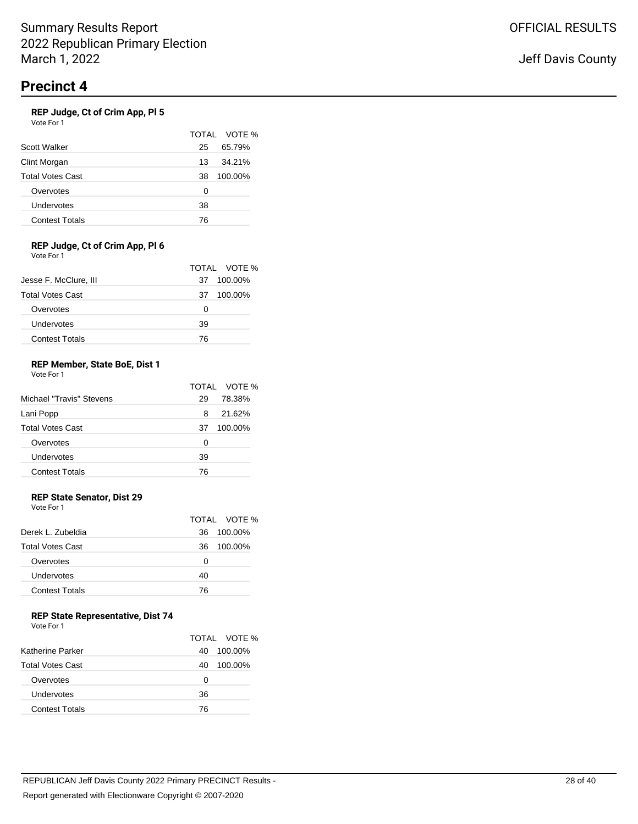### **REP Judge, Ct of Crim App, Pl 5**

| Vote For 1 |
|------------|
|------------|

|                         |    | TOTAL VOTE % |
|-------------------------|----|--------------|
| Scott Walker            | 25 | 65.79%       |
| Clint Morgan            | 13 | 34.21%       |
| <b>Total Votes Cast</b> | 38 | 100.00%      |
| Overvotes               | 0  |              |
| Undervotes              | 38 |              |
| <b>Contest Totals</b>   | 76 |              |

#### **REP Judge, Ct of Crim App, Pl 6** Vote For 1

|                         |    | TOTAL VOTE % |
|-------------------------|----|--------------|
| Jesse F. McClure, III   | 37 | 100.00%      |
| <b>Total Votes Cast</b> | 37 | 100.00%      |
| Overvotes               | Ω  |              |
| Undervotes              | 39 |              |
| <b>Contest Totals</b>   | 76 |              |

#### **REP Member, State BoE, Dist 1** Vote For 1

|                          |    | TOTAL VOTE % |
|--------------------------|----|--------------|
| Michael "Travis" Stevens | 29 | 78.38%       |
| Lani Popp                | 8  | 21.62%       |
| <b>Total Votes Cast</b>  | 37 | 100.00%      |
| Overvotes                | 0  |              |
| Undervotes               | 39 |              |
| <b>Contest Totals</b>    | 76 |              |

## **REP State Senator, Dist 29**

Vote For 1

|                         |    | TOTAL VOTE % |
|-------------------------|----|--------------|
| Derek L. Zubeldia       | 36 | 100.00%      |
| <b>Total Votes Cast</b> | 36 | 100.00%      |
| Overvotes               | Ω  |              |
| Undervotes              | 40 |              |
| <b>Contest Totals</b>   | 76 |              |
|                         |    |              |

### **REP State Representative, Dist 74**

| Vote For 1 |  |
|------------|--|
|------------|--|

|                         |    | TOTAL VOTE % |
|-------------------------|----|--------------|
| Katherine Parker        | 40 | 100.00%      |
| <b>Total Votes Cast</b> | 40 | 100.00%      |
| Overvotes               | Ω  |              |
| Undervotes              | 36 |              |
| <b>Contest Totals</b>   | 76 |              |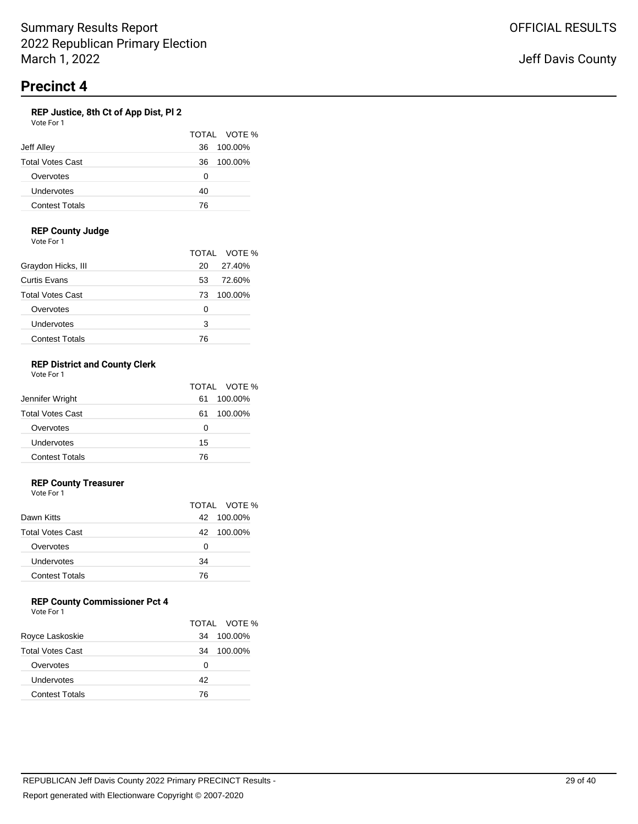## **REP Justice, 8th Ct of App Dist, Pl 2**

| Vote For 1              |               |  |
|-------------------------|---------------|--|
|                         | TOTAL VOTE %  |  |
| Jeff Alley              | 100.00%<br>36 |  |
| <b>Total Votes Cast</b> | 100.00%<br>36 |  |
| Overvotes               | Ω             |  |
| Undervotes              | 40            |  |
| <b>Contest Totals</b>   | 76            |  |

### **REP County Judge**

Vote For 1

|                         |    | TOTAL VOTE % |
|-------------------------|----|--------------|
| Graydon Hicks, III      | 20 | 27.40%       |
| Curtis Evans            | 53 | 72.60%       |
| <b>Total Votes Cast</b> | 73 | 100.00%      |
| Overvotes               | 0  |              |
| Undervotes              | 3  |              |
| <b>Contest Totals</b>   | 76 |              |

#### **REP District and County Clerk** Vote For 1

|                         |    | TOTAL VOTE % |
|-------------------------|----|--------------|
| Jennifer Wright         | 61 | 100.00%      |
| <b>Total Votes Cast</b> | 61 | 100.00%      |
| Overvotes               | 0  |              |
| Undervotes              | 15 |              |
| <b>Contest Totals</b>   | 76 |              |

### **REP County Treasurer**

Vote For 1

|    | TOTAL VOTE % |
|----|--------------|
|    | 42 100.00%   |
| 42 | 100.00%      |
| 0  |              |
| 34 |              |
| 76 |              |
|    |              |

# **REP County Commissioner Pct 4**

| Vote For 1 |  |
|------------|--|
|------------|--|

|                         |    | TOTAL VOTE % |
|-------------------------|----|--------------|
| Royce Laskoskie         | 34 | 100.00%      |
| <b>Total Votes Cast</b> | 34 | 100.00%      |
| Overvotes               | Ω  |              |
| Undervotes              | 42 |              |
| <b>Contest Totals</b>   | 76 |              |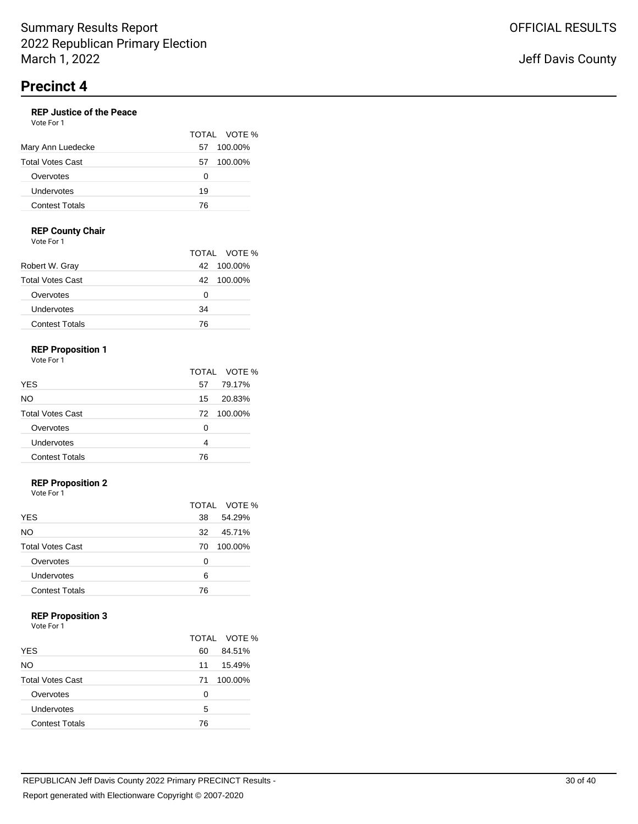#### **REP Justice of the Peace** Vote For 1

|                         |    | TOTAL VOTE % |
|-------------------------|----|--------------|
| Mary Ann Luedecke       | 57 | 100.00%      |
| <b>Total Votes Cast</b> | 57 | 100.00%      |
| Overvotes               | Ω  |              |
| Undervotes              | 19 |              |
| <b>Contest Totals</b>   | 76 |              |

### **REP County Chair**

Vote For 1

|                         |    | TOTAL VOTE % |
|-------------------------|----|--------------|
| Robert W. Gray          | 42 | 100.00%      |
| <b>Total Votes Cast</b> | 42 | 100.00%      |
| Overvotes               | Ω  |              |
| Undervotes              | 34 |              |
| <b>Contest Totals</b>   | 76 |              |

# **REP Proposition 1**

Vote For 1

|                         |    | TOTAL VOTE % |
|-------------------------|----|--------------|
| <b>YES</b>              | 57 | 79.17%       |
| <b>NO</b>               | 15 | 20.83%       |
| <b>Total Votes Cast</b> | 72 | 100.00%      |
| Overvotes               | O  |              |
| Undervotes              | 4  |              |
| <b>Contest Totals</b>   | 76 |              |

### **REP Proposition 2**

Vote For 1

|                         |    | TOTAL VOTE % |
|-------------------------|----|--------------|
| <b>YES</b>              | 38 | 54.29%       |
| <b>NO</b>               | 32 | 45.71%       |
| <b>Total Votes Cast</b> | 70 | 100.00%      |
| Overvotes               | 0  |              |
| Undervotes              | 6  |              |
| <b>Contest Totals</b>   | 76 |              |

### **REP Proposition 3**

Vote For 1

|                         |    | TOTAL VOTE % |
|-------------------------|----|--------------|
| <b>YES</b>              | 60 | 84.51%       |
| NO.                     | 11 | 15.49%       |
| <b>Total Votes Cast</b> | 71 | 100.00%      |
| Overvotes               | O  |              |
| Undervotes              | 5  |              |
| <b>Contest Totals</b>   | 76 |              |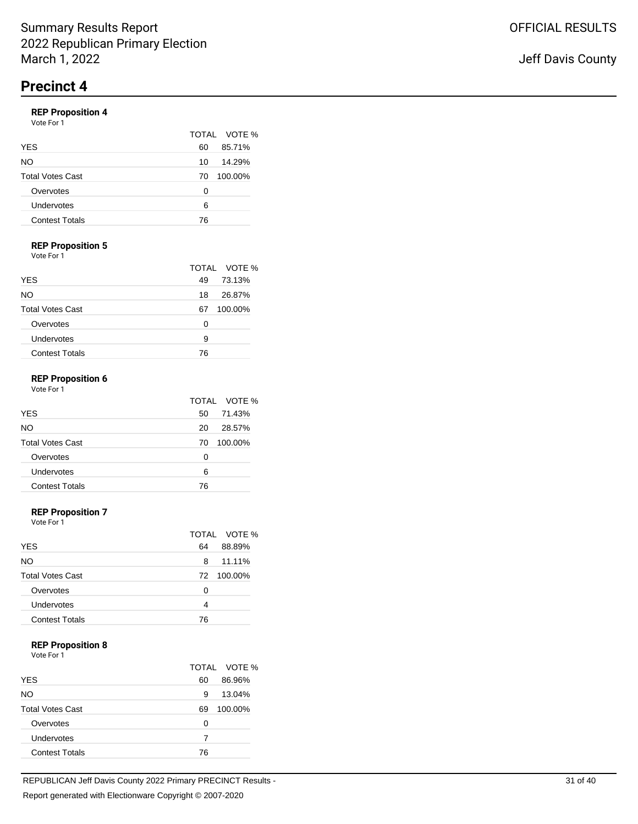# **REP Proposition 4**

| . <b>.</b> .<br>Vote For 1 |    |              |
|----------------------------|----|--------------|
|                            |    | TOTAL VOTE % |
| YES                        | 60 | 85.71%       |
| NO.                        | 10 | 14.29%       |
| <b>Total Votes Cast</b>    | 70 | 100.00%      |
| Overvotes                  | ∩  |              |
| Undervotes                 | 6  |              |
| <b>Contest Totals</b>      | 76 |              |
|                            |    |              |

# **REP Proposition 5**

Vote For 1

|                         | TOTAL VOTE %  |
|-------------------------|---------------|
| <b>YES</b>              | 73.13%<br>49  |
| NO                      | 26.87%<br>18  |
| <b>Total Votes Cast</b> | 100.00%<br>67 |
| Overvotes               | O             |
| Undervotes              | 9             |
| <b>Contest Totals</b>   | 76            |

#### **REP Proposition 6** Vote For 1

|                         |    | TOTAL VOTE % |
|-------------------------|----|--------------|
| <b>YES</b>              | 50 | 71.43%       |
| NO.                     | 20 | 28.57%       |
| <b>Total Votes Cast</b> | 70 | 100.00%      |
| Overvotes               | 0  |              |
| Undervotes              | 6  |              |
| <b>Contest Totals</b>   | 76 |              |

### **REP Proposition 7**

Vote For 1

|                         |    | TOTAL VOTE % |
|-------------------------|----|--------------|
| <b>YES</b>              | 64 | 88.89%       |
| NO.                     | 8  | 11.11%       |
| <b>Total Votes Cast</b> | 72 | 100.00%      |
| Overvotes               | O  |              |
| Undervotes              | 4  |              |
| <b>Contest Totals</b>   | 76 |              |

#### **REP Proposition 8**

|                         |    | TOTAL VOTE % |
|-------------------------|----|--------------|
| <b>YES</b>              | 60 | 86.96%       |
| NO                      | 9  | 13.04%       |
| <b>Total Votes Cast</b> | 69 | 100.00%      |
| Overvotes               | Ω  |              |
| Undervotes              | 7  |              |
| <b>Contest Totals</b>   | 76 |              |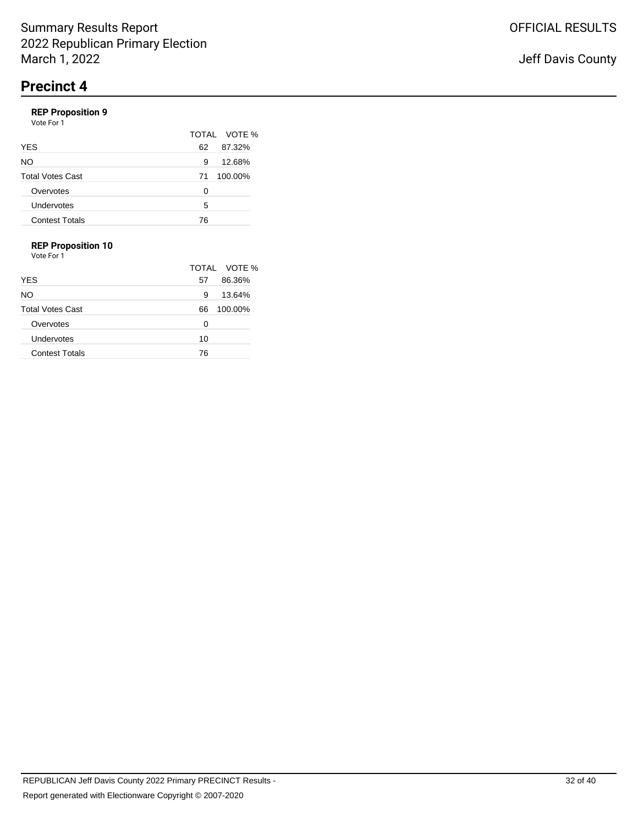# **REP Proposition 9**

| Vote For 1              |               |
|-------------------------|---------------|
|                         | TOTAL VOTE %  |
| YES                     | 87.32%<br>62  |
| NO                      | 12.68%<br>9   |
| <b>Total Votes Cast</b> | 100.00%<br>71 |
| Overvotes               | 0             |
| Undervotes              | 5             |
| <b>Contest Totals</b>   | 76            |
|                         |               |

## **REP Proposition 10**

|                         |    | TOTAL VOTE % |
|-------------------------|----|--------------|
| <b>YES</b>              | 57 | 86.36%       |
| NO.                     | 9  | 13.64%       |
| <b>Total Votes Cast</b> | 66 | 100.00%      |
| Overvotes               | 0  |              |
| Undervotes              | 10 |              |
| <b>Contest Totals</b>   | 76 |              |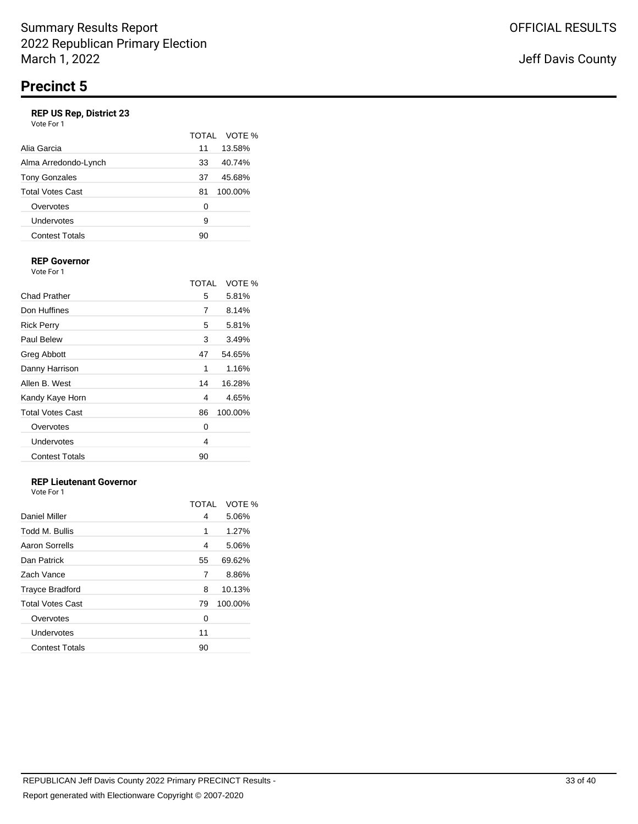## **REP US Rep, District 23**

| Vote For 1 |  |
|------------|--|
|------------|--|

|                         | TOTAI | VOTE %  |
|-------------------------|-------|---------|
| Alia Garcia             | 11    | 13.58%  |
| Alma Arredondo-Lynch    | 33    | 40.74%  |
| <b>Tony Gonzales</b>    | 37    | 45.68%  |
| <b>Total Votes Cast</b> | 81    | 100.00% |
| Overvotes               | 0     |         |
| Undervotes              | 9     |         |
| <b>Contest Totals</b>   | 90    |         |

#### **REP Governor** Vote For 1

|                         | <b>TOTAL</b> | VOTE %  |
|-------------------------|--------------|---------|
| Chad Prather            | 5            | 5.81%   |
| Don Huffines            | 7            | 8.14%   |
| <b>Rick Perry</b>       | 5            | 5.81%   |
| <b>Paul Belew</b>       | 3            | 3.49%   |
| <b>Greg Abbott</b>      | 47           | 54.65%  |
| Danny Harrison          | 1            | 1.16%   |
| Allen B. West           | 14           | 16.28%  |
| Kandy Kaye Horn         | 4            | 4.65%   |
| <b>Total Votes Cast</b> | 86           | 100.00% |
| Overvotes               | 0            |         |
| Undervotes              | 4            |         |
| <b>Contest Totals</b>   | 90           |         |

# **REP Lieutenant Governor**

| Vote For 1 |  |  |
|------------|--|--|
|------------|--|--|

|                         | <b>TOTAL</b> | VOTE %  |
|-------------------------|--------------|---------|
| Daniel Miller           | 4            | 5.06%   |
| Todd M. Bullis          | 1            | 1.27%   |
| Aaron Sorrells          | 4            | 5.06%   |
| Dan Patrick             | 55           | 69.62%  |
| Zach Vance              | 7            | 8.86%   |
| <b>Trayce Bradford</b>  | 8            | 10.13%  |
| <b>Total Votes Cast</b> | 79           | 100.00% |
| Overvotes               | 0            |         |
| Undervotes              | 11           |         |
| <b>Contest Totals</b>   | 90           |         |
|                         |              |         |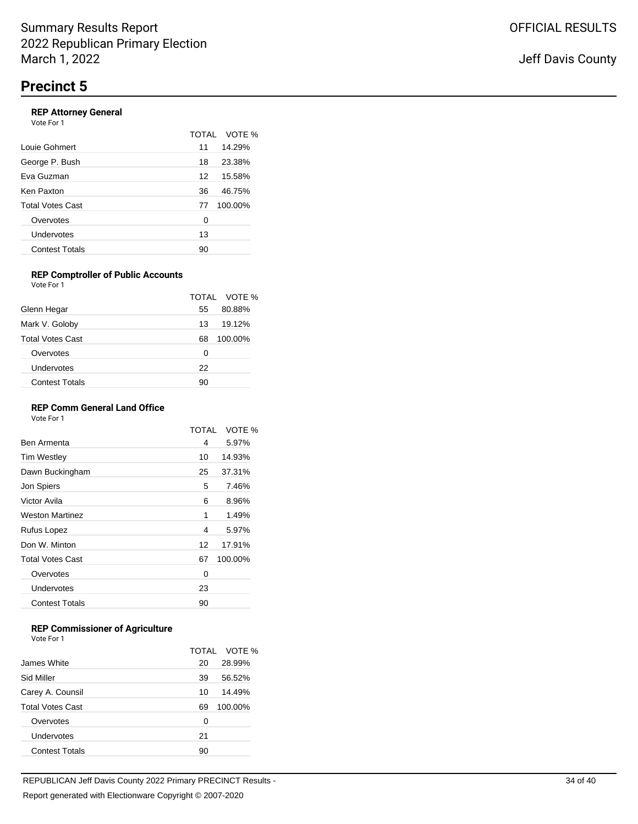### **REP Attorney General**

| Vote For 1              |    |              |
|-------------------------|----|--------------|
|                         |    | TOTAL VOTE % |
| Louie Gohmert           | 11 | 14.29%       |
| George P. Bush          | 18 | 23.38%       |
| Eva Guzman              | 12 | 15.58%       |
| Ken Paxton              | 36 | 46.75%       |
| <b>Total Votes Cast</b> | 77 | 100.00%      |
| Overvotes               | 0  |              |
| Undervotes              | 13 |              |
| <b>Contest Totals</b>   | 90 |              |
|                         |    |              |

#### **REP Comptroller of Public Accounts** Vote For 1

|                         |    | TOTAL VOTE % |
|-------------------------|----|--------------|
| Glenn Hegar             | 55 | 80.88%       |
| Mark V. Goloby          | 13 | 19.12%       |
| <b>Total Votes Cast</b> | 68 | 100.00%      |
| Overvotes               | O  |              |
| Undervotes              | 22 |              |
| <b>Contest Totals</b>   | 90 |              |

### **REP Comm General Land Office**

Vote For 1

|                         | TOTAI | VOTE %  |
|-------------------------|-------|---------|
| Ben Armenta             | 4     | 5.97%   |
| <b>Tim Westley</b>      | 10    | 14.93%  |
| Dawn Buckingham         | 25    | 37.31%  |
| Jon Spiers              | 5     | 7.46%   |
| Victor Avila            | 6     | 8.96%   |
| <b>Weston Martinez</b>  | 1     | 1.49%   |
| Rufus Lopez             | 4     | 5.97%   |
| Don W. Minton           | 12    | 17.91%  |
| <b>Total Votes Cast</b> | 67    | 100.00% |
| Overvotes               | 0     |         |
| Undervotes              | 23    |         |
| <b>Contest Totals</b>   | 90    |         |
|                         |       |         |

## **REP Commissioner of Agriculture**

|                         |    | TOTAL VOTE % |
|-------------------------|----|--------------|
| James White             | 20 | 28.99%       |
| Sid Miller              | 39 | 56.52%       |
| Carey A. Counsil        | 10 | 14.49%       |
| <b>Total Votes Cast</b> | 69 | 100.00%      |
| Overvotes               | 0  |              |
| Undervotes              | 21 |              |
| <b>Contest Totals</b>   | 90 |              |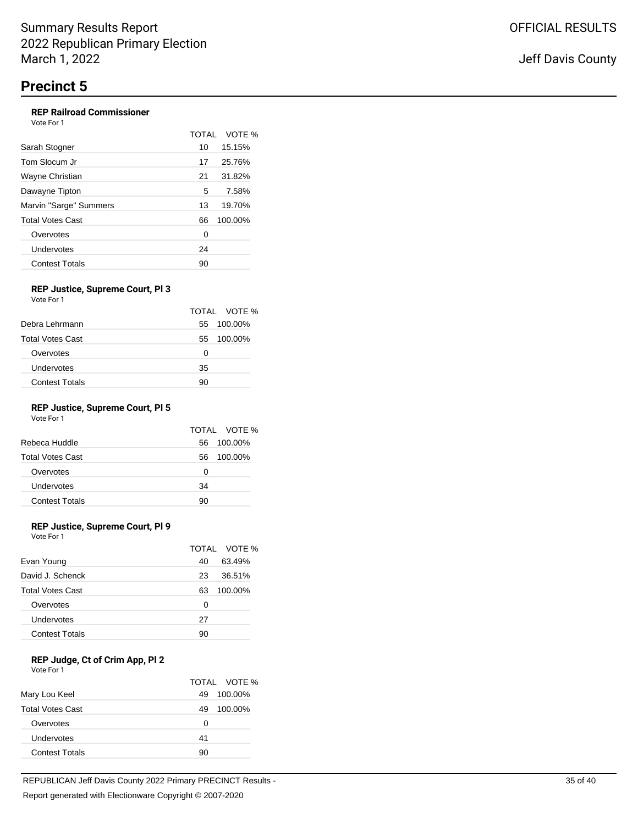## **REP Railroad Commissioner**

| Vote For 1             |              |         |
|------------------------|--------------|---------|
|                        | <b>TOTAL</b> | VOTE %  |
| Sarah Stogner          | 10           | 15.15%  |
| Tom Slocum Jr          | 17           | 25.76%  |
| Wayne Christian        | 21           | 31.82%  |
| Dawayne Tipton         | 5            | 7.58%   |
| Marvin "Sarge" Summers | 13           | 19.70%  |
| Total Votes Cast       | 66           | 100.00% |
| Overvotes              | 0            |         |
| Undervotes             | 24           |         |
| <b>Contest Totals</b>  | 90           |         |

#### **REP Justice, Supreme Court, Pl 3** Vote For 1

|    | TOTAL VOTE % |
|----|--------------|
| 55 | 100.00%      |
| 55 | 100.00%      |
| 0  |              |
| 35 |              |
| 90 |              |
|    |              |

# **REP Justice, Supreme Court, Pl 5**

Vote For 1

|                         |    | TOTAL VOTE % |
|-------------------------|----|--------------|
| Rebeca Huddle           | 56 | 100.00%      |
| <b>Total Votes Cast</b> | 56 | 100.00%      |
| Overvotes               | 0  |              |
| Undervotes              | 34 |              |
| <b>Contest Totals</b>   | 90 |              |

## **REP Justice, Supreme Court, Pl 9**

Vote For 1

|                         |    | TOTAL VOTE % |
|-------------------------|----|--------------|
| Evan Young              | 40 | 63.49%       |
| David J. Schenck        | 23 | 36.51%       |
| <b>Total Votes Cast</b> | 63 | 100.00%      |
| Overvotes               | 0  |              |
| Undervotes              | 27 |              |
| <b>Contest Totals</b>   | 90 |              |

#### **REP Judge, Ct of Crim App, Pl 2** Vote For 1

|                         |    | TOTAL VOTE % |
|-------------------------|----|--------------|
| Mary Lou Keel           | 49 | 100.00%      |
| <b>Total Votes Cast</b> | 49 | 100.00%      |
| Overvotes               | 0  |              |
| Undervotes              | 41 |              |
| <b>Contest Totals</b>   | 90 |              |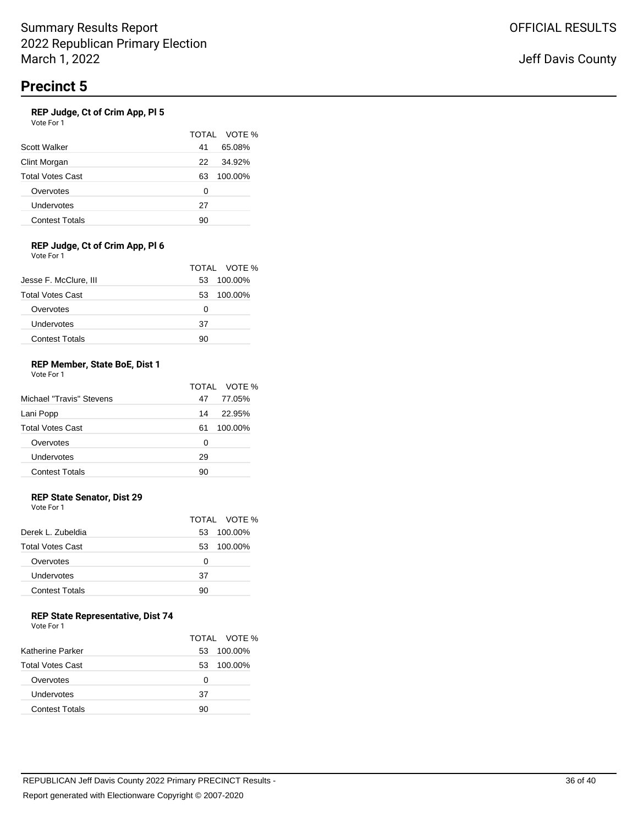### **REP Judge, Ct of Crim App, Pl 5**

Vote For 1

|                         |    | TOTAL VOTE % |
|-------------------------|----|--------------|
| Scott Walker            | 41 | 65.08%       |
| Clint Morgan            | 22 | 34.92%       |
| <b>Total Votes Cast</b> | 63 | 100.00%      |
| Overvotes               | Ω  |              |
| Undervotes              | 27 |              |
| <b>Contest Totals</b>   | 90 |              |

#### **REP Judge, Ct of Crim App, Pl 6** Vote For 1

|                         |    | TOTAL VOTE % |
|-------------------------|----|--------------|
| Jesse F. McClure, III   | 53 | 100.00%      |
| <b>Total Votes Cast</b> | 53 | 100.00%      |
| Overvotes               | 0  |              |
| Undervotes              | 37 |              |
| <b>Contest Totals</b>   | 90 |              |

#### **REP Member, State BoE, Dist 1** Vote For 1

| Michael "Travis" Stevens | 47 | TOTAL VOTE %<br>77.05% |
|--------------------------|----|------------------------|
| Lani Popp                | 14 | 22.95%                 |
| <b>Total Votes Cast</b>  | 61 | 100.00%                |
| Overvotes                | 0  |                        |
| Undervotes               | 29 |                        |
| <b>Contest Totals</b>    | 90 |                        |

## **REP State Senator, Dist 29**

Vote For 1

|                         |    | TOTAL VOTE % |
|-------------------------|----|--------------|
| Derek L. Zubeldia       | 53 | 100.00%      |
| <b>Total Votes Cast</b> | 53 | 100.00%      |
| Overvotes               | Ω  |              |
| Undervotes              | 37 |              |
| <b>Contest Totals</b>   | 90 |              |
|                         |    |              |

## **REP State Representative, Dist 74**

| Vote For 1 |  |
|------------|--|
|------------|--|

|                         |    | TOTAL VOTE % |
|-------------------------|----|--------------|
| Katherine Parker        | 53 | 100.00%      |
| <b>Total Votes Cast</b> | 53 | 100.00%      |
| Overvotes               | 0  |              |
| Undervotes              | 37 |              |
| <b>Contest Totals</b>   | 90 |              |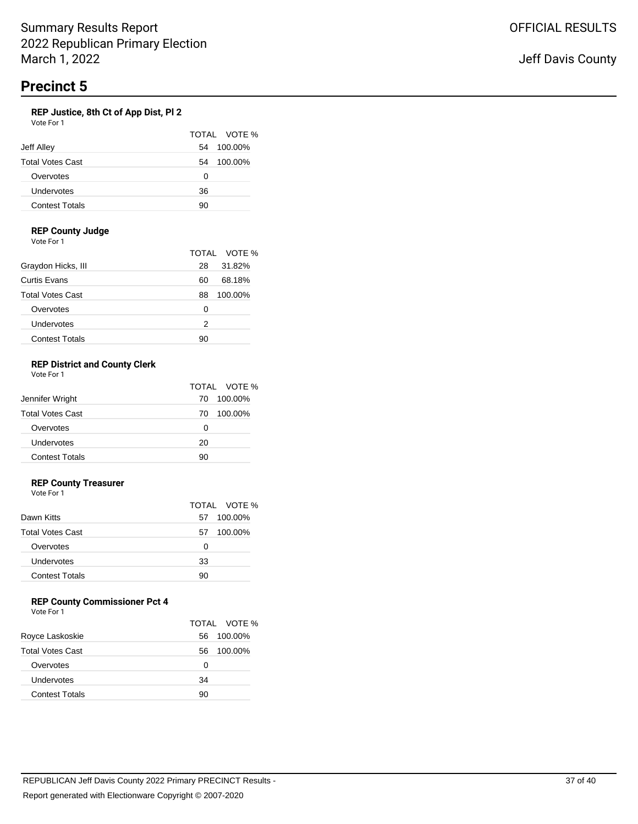## **REP Justice, 8th Ct of App Dist, Pl 2**

| Vote For 1              |               |
|-------------------------|---------------|
|                         | TOTAL VOTE %  |
| Jeff Alley              | 100.00%<br>54 |
| <b>Total Votes Cast</b> | 100.00%<br>54 |
| Overvotes               | Ω             |
| Undervotes              | 36            |
| <b>Contest Totals</b>   | 90            |

### **REP County Judge**

Vote For 1

|                         |    | TOTAL VOTE % |
|-------------------------|----|--------------|
| Graydon Hicks, III      | 28 | 31.82%       |
| Curtis Evans            | 60 | 68.18%       |
| <b>Total Votes Cast</b> | 88 | 100.00%      |
| Overvotes               | 0  |              |
| Undervotes              | 2  |              |
| <b>Contest Totals</b>   | 90 |              |

#### **REP District and County Clerk** Vote For 1

|                         |    | TOTAL VOTE % |
|-------------------------|----|--------------|
| Jennifer Wright         | 70 | 100.00%      |
| <b>Total Votes Cast</b> | 70 | 100.00%      |
| Overvotes               | 0  |              |
| Undervotes              | 20 |              |
| <b>Contest Totals</b>   | 90 |              |

### **REP County Treasurer**

Vote For 1

|                         |    | TOTAL VOTE % |
|-------------------------|----|--------------|
| Dawn Kitts              | 57 | 100.00%      |
| <b>Total Votes Cast</b> | 57 | 100.00%      |
| Overvotes               | 0  |              |
| Undervotes              | 33 |              |
| <b>Contest Totals</b>   | 90 |              |
|                         |    |              |

# **REP County Commissioner Pct 4**

|                         |    | TOTAL VOTE % |
|-------------------------|----|--------------|
| Royce Laskoskie         | 56 | 100.00%      |
| <b>Total Votes Cast</b> | 56 | 100.00%      |
| Overvotes               | Ω  |              |
| Undervotes              | 34 |              |
| <b>Contest Totals</b>   | 90 |              |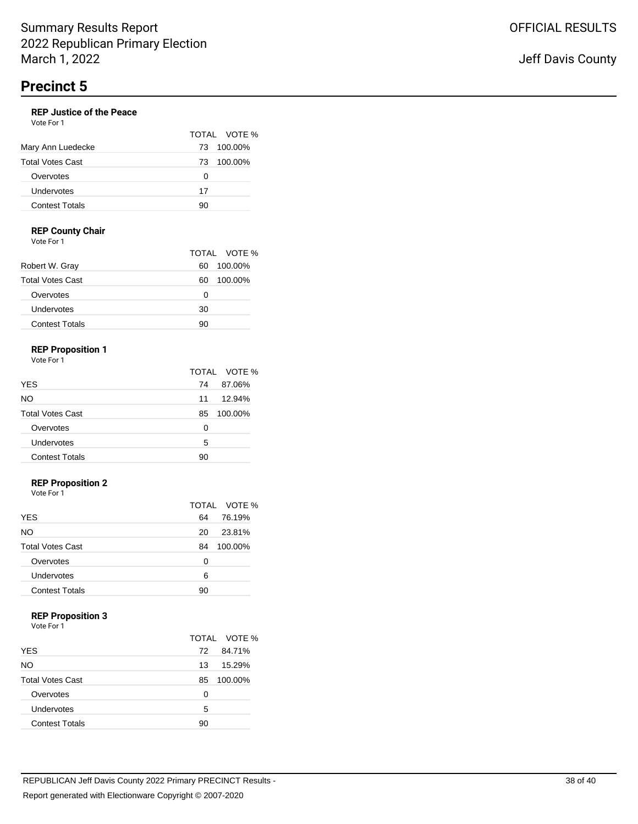#### **REP Justice of the Peace** Vote For 1

|                         |     | TOTAL VOTE % |
|-------------------------|-----|--------------|
| Mary Ann Luedecke       | 73. | 100.00%      |
| <b>Total Votes Cast</b> | 73. | 100.00%      |
| Overvotes               | 0   |              |
| Undervotes              | 17  |              |
| <b>Contest Totals</b>   | 90  |              |

## **REP County Chair**

Vote For 1

|                         |    | TOTAL VOTE % |
|-------------------------|----|--------------|
| Robert W. Gray          | 60 | 100.00%      |
| <b>Total Votes Cast</b> | 60 | 100.00%      |
| Overvotes               | Ω  |              |
| Undervotes              | 30 |              |
| <b>Contest Totals</b>   | 90 |              |

# **REP Proposition 1**

Vote For 1

|                         |    | TOTAL VOTE % |
|-------------------------|----|--------------|
| <b>YES</b>              | 74 | 87.06%       |
| NO.                     | 11 | 12.94%       |
| <b>Total Votes Cast</b> | 85 | 100.00%      |
| Overvotes               | ŋ  |              |
| Undervotes              | 5  |              |
| <b>Contest Totals</b>   | 90 |              |

# **REP Proposition 2**

Vote For 1

|                         |    | TOTAL VOTE % |
|-------------------------|----|--------------|
| <b>YES</b>              | 64 | 76.19%       |
| <b>NO</b>               | 20 | 23.81%       |
| <b>Total Votes Cast</b> | 84 | 100.00%      |
| Overvotes               | 0  |              |
| Undervotes              | 6  |              |
| <b>Contest Totals</b>   | 90 |              |

### **REP Proposition 3**

Vote For 1

|                         |     | TOTAL VOTE % |
|-------------------------|-----|--------------|
| <b>YES</b>              | 72. | 84.71%       |
| NO.                     | 13  | 15.29%       |
| <b>Total Votes Cast</b> | 85  | 100.00%      |
| Overvotes               | 0   |              |
| Undervotes              | 5   |              |
| <b>Contest Totals</b>   | 90  |              |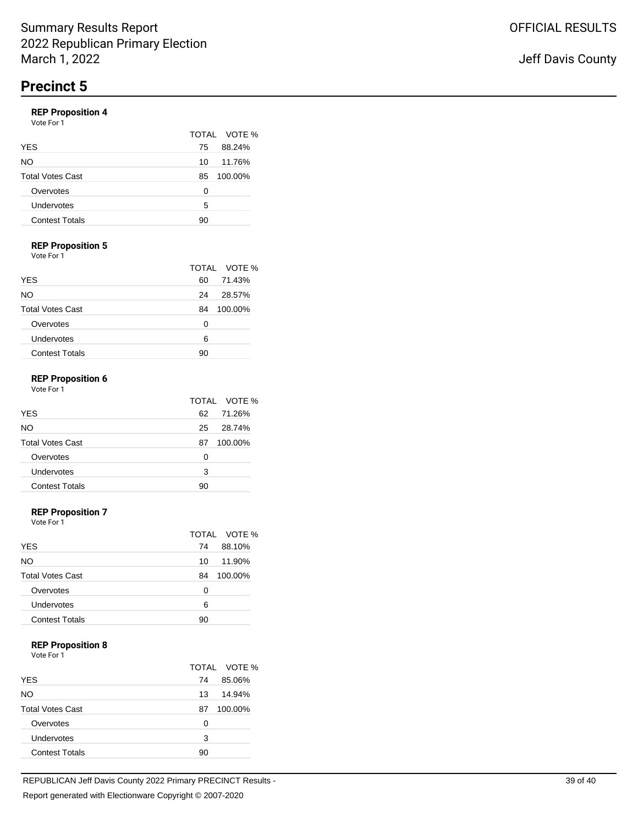# **REP Proposition 4**

| $11 - 110000100117$<br>Vote For 1 |               |
|-----------------------------------|---------------|
|                                   | TOTAL VOTE %  |
| <b>YES</b>                        | 88.24%<br>75  |
| NO                                | 11.76%<br>10  |
| <b>Total Votes Cast</b>           | 100.00%<br>85 |
| Overvotes                         | O             |
| Undervotes                        | 5             |
| <b>Contest Totals</b>             | 90            |

## **REP Proposition 5**

Vote For 1

|                         |    | TOTAL VOTE % |
|-------------------------|----|--------------|
| <b>YES</b>              | 60 | 71.43%       |
| NO.                     | 24 | 28.57%       |
| <b>Total Votes Cast</b> | 84 | 100.00%      |
| Overvotes               | O  |              |
| Undervotes              | 6  |              |
| <b>Contest Totals</b>   | 90 |              |

#### **REP Proposition 6** Vote For 1

| <b>YES</b>              | 62 | TOTAL VOTE %<br>71.26% |
|-------------------------|----|------------------------|
| NO.                     | 25 | 28.74%                 |
| <b>Total Votes Cast</b> | 87 | 100.00%                |
| Overvotes               | 0  |                        |
| Undervotes              | 3  |                        |
| <b>Contest Totals</b>   | 90 |                        |

#### **REP Proposition 7**

Vote For 1

|                         |    | TOTAL VOTE % |
|-------------------------|----|--------------|
| <b>YES</b>              | 74 | 88.10%       |
| <b>NO</b>               | 10 | 11.90%       |
| <b>Total Votes Cast</b> | 84 | 100.00%      |
| Overvotes               | 0  |              |
| Undervotes              | 6  |              |
| <b>Contest Totals</b>   | 90 |              |

### **REP Proposition 8**

Vote For 1

|                         |    | TOTAL VOTE % |
|-------------------------|----|--------------|
| <b>YES</b>              | 74 | 85.06%       |
| NO.                     | 13 | 14.94%       |
| <b>Total Votes Cast</b> | 87 | 100.00%      |
| Overvotes               | 0  |              |
| Undervotes              | 3  |              |
| <b>Contest Totals</b>   | 90 |              |